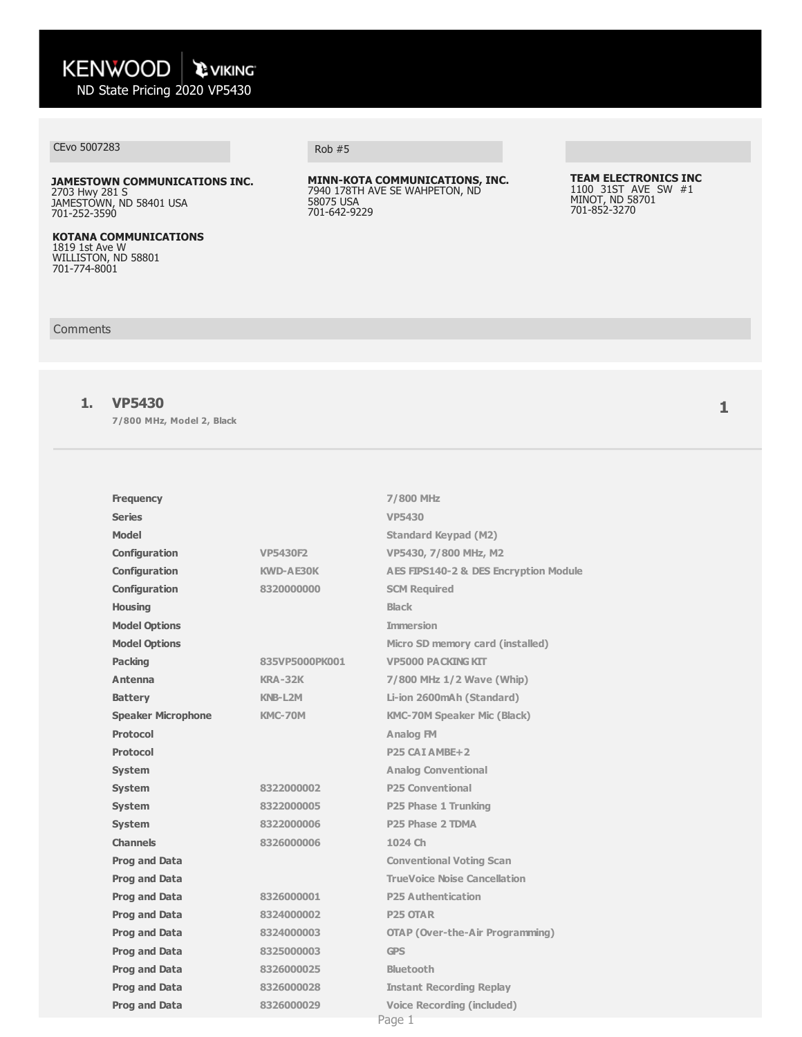# CEvo 5007283 Rob #5

**JAMESTOWN COMMUNICATIONS INC.** 2703 Hwy 281 S JAMESTOWN, ND 58401 USA 701-252-3590

**KOTANA COMMUNICATIONS** 1819 1st Ave W WILLISTON, ND 58801 701-774-8001

**MINN-KOTA COMMUNICATIONS, INC.** 7940 178TH AVE SE WAHPETON, ND 58075 USA 701-642-9229

#### **TEAM ELECTRONICS INC** 1100 31ST AVE SW #1 MINOT, ND 58701 701-852-3270

#### Comments

### **1. VP5430**

**7/800 MHz, Model 2, Black**

| <b>Frequency</b>          |                  | 7/800 MHz                                        |
|---------------------------|------------------|--------------------------------------------------|
| <b>Series</b>             |                  | <b>VP5430</b>                                    |
| <b>Model</b>              |                  | <b>Standard Keypad (M2)</b>                      |
| Configuration             | <b>VP5430F2</b>  | VP5430, 7/800 MHz, M2                            |
| Configuration             | <b>KWD-AE30K</b> | <b>AES FIPS140-2 &amp; DES Encryption Module</b> |
| Configuration             | 8320000000       | <b>SCM Required</b>                              |
| <b>Housing</b>            |                  | <b>Black</b>                                     |
| <b>Model Options</b>      |                  | <b>Immersion</b>                                 |
| <b>Model Options</b>      |                  | Micro SD memory card (installed)                 |
| <b>Packing</b>            | 835VP5000PK001   | <b>VP5000 PACKING KIT</b>                        |
| Antenna                   | <b>KRA-32K</b>   | 7/800 MHz 1/2 Wave (Whip)                        |
| <b>Battery</b>            | KNB-L2M          | Li-ion 2600mAh (Standard)                        |
| <b>Speaker Microphone</b> | KMC-70M          | <b>KMC-70M Speaker Mic (Black)</b>               |
| <b>Protocol</b>           |                  | Analog FM                                        |
| <b>Protocol</b>           |                  | P <sub>25</sub> CAT AMBE+2                       |
| <b>System</b>             |                  | <b>Analog Conventional</b>                       |
| System                    | 8322000002       | <b>P25 Conventional</b>                          |
| <b>System</b>             | 8322000005       | P25 Phase 1 Trunking                             |
| <b>System</b>             | 8322000006       | P <sub>25</sub> Phase 2 TDMA                     |
| <b>Channels</b>           | 8326000006       | 1024 Ch                                          |
| <b>Prog and Data</b>      |                  | <b>Conventional Voting Scan</b>                  |
| <b>Prog and Data</b>      |                  | <b>TrueVoice Noise Cancellation</b>              |
| <b>Prog and Data</b>      | 8326000001       | <b>P25 Authentication</b>                        |
| <b>Prog and Data</b>      | 8324000002       | <b>P25 OTAR</b>                                  |
| <b>Prog and Data</b>      | 8324000003       | <b>OTAP (Over-the-Air Programming)</b>           |
| <b>Prog and Data</b>      | 8325000003       | <b>GPS</b>                                       |
| <b>Prog and Data</b>      | 8326000025       | <b>Bluetooth</b>                                 |
| <b>Prog and Data</b>      | 8326000028       | <b>Instant Recording Replay</b>                  |
| <b>Prog and Data</b>      | 8326000029       | <b>Voice Recording (included)</b>                |
|                           |                  | Page 1                                           |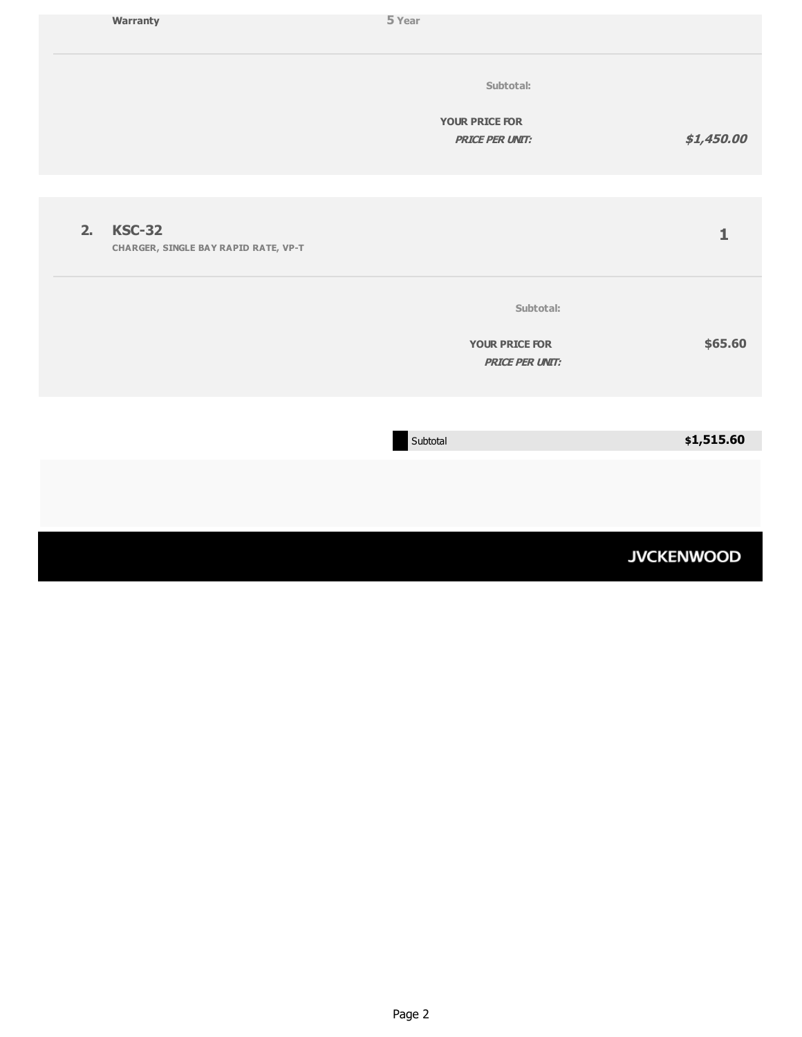|                | Warranty                                                     | 5 Year                                          |                   |
|----------------|--------------------------------------------------------------|-------------------------------------------------|-------------------|
|                |                                                              | Subtotal:                                       |                   |
|                |                                                              | <b>YOUR PRICE FOR</b><br><b>PRICE PER UNIT:</b> | \$1,450.00        |
|                |                                                              |                                                 |                   |
| 2 <sub>1</sub> | <b>KSC-32</b><br><b>CHARGER, SINGLE BAY RAPID RATE, VP-T</b> |                                                 | $\mathbf{1}$      |
|                |                                                              | Subtotal:                                       |                   |
|                |                                                              | <b>YOUR PRICE FOR</b><br><b>PRICE PER UNIT:</b> | \$65.60           |
|                |                                                              |                                                 |                   |
|                |                                                              | Subtotal                                        | \$1,515.60        |
|                |                                                              |                                                 |                   |
|                |                                                              |                                                 | <b>JVCKENWOOD</b> |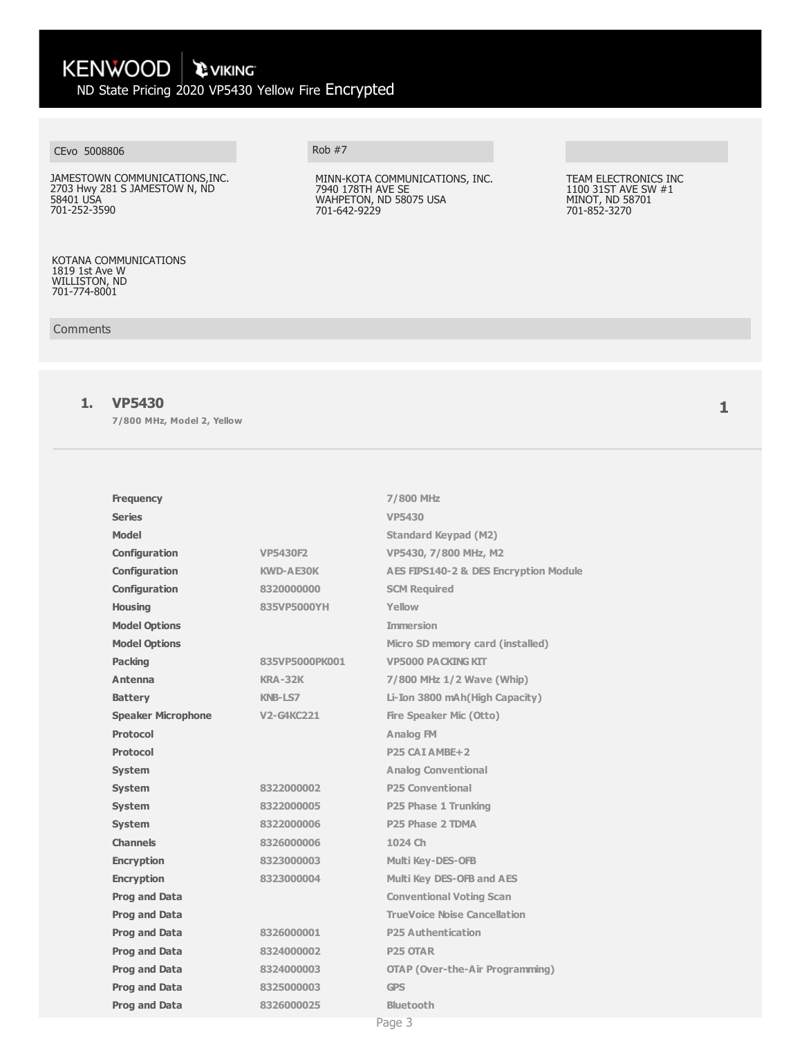# KENWOOD \ PVIKING ND State Pricing 2020 VP5430 Yellow Fire Encrypted

## CEvo 5008806 Rob #7

JAMESTOWN COMMUNICATIONS,INC. 2703 Hwy 281 S JAMESTOW N, ND 58401 USA 701-252-3590

#### KOTANA COMMUNICATIONS 1819 1st Ave W WILLISTON, ND 701-774-8001

#### **Comments**

### **1. VP5430**

**7/800 MHz, Model 2, Yellow**

| <b>Frequency</b>          |                   | 7/800 MHz                                        |
|---------------------------|-------------------|--------------------------------------------------|
| <b>Series</b>             |                   | <b>VP5430</b>                                    |
| <b>Model</b>              |                   | <b>Standard Keypad (M2)</b>                      |
| Configuration             | <b>VP5430F2</b>   | VP5430, 7/800 MHz, M2                            |
| Configuration             | <b>KWD-AE30K</b>  | <b>AES FIPS140-2 &amp; DES Encryption Module</b> |
| Configuration             | 8320000000        | <b>SCM Required</b>                              |
| <b>Housing</b>            | 835VP5000YH       | Yellow                                           |
| <b>Model Options</b>      |                   | <b>Immersion</b>                                 |
| <b>Model Options</b>      |                   | Micro SD memory card (installed)                 |
| <b>Packing</b>            | 835VP5000PK001    | <b>VP5000 PACKING KIT</b>                        |
| Antenna                   | KRA-32K           | 7/800 MHz 1/2 Wave (Whip)                        |
| <b>Battery</b>            | <b>KNB-LS7</b>    | Li-Ion 3800 mAh (High Capacity)                  |
| <b>Speaker Microphone</b> | <b>V2-G4KC221</b> | <b>Fire Speaker Mic (Otto)</b>                   |
| <b>Protocol</b>           |                   | <b>Analog FM</b>                                 |
| <b>Protocol</b>           |                   | P25 CAI AMBE+2                                   |
| <b>System</b>             |                   | <b>Analog Conventional</b>                       |
| <b>System</b>             | 8322000002        | <b>P25 Conventional</b>                          |
| <b>System</b>             | 8322000005        | P25 Phase 1 Trunking                             |
| <b>System</b>             | 8322000006        | P25 Phase 2 TDMA                                 |
| <b>Channels</b>           | 8326000006        | 1024 Ch                                          |
| <b>Encryption</b>         | 8323000003        | <b>Multi Key-DES-OFB</b>                         |
| <b>Encryption</b>         | 8323000004        | Multi Key DES-OFB and AES                        |
| <b>Prog and Data</b>      |                   | <b>Conventional Voting Scan</b>                  |
| <b>Prog and Data</b>      |                   | <b>TrueVoice Noise Cancellation</b>              |
| <b>Prog and Data</b>      | 8326000001        | <b>P25 Authentication</b>                        |
| <b>Prog and Data</b>      | 8324000002        | P <sub>25</sub> OTAR                             |
| <b>Prog and Data</b>      | 8324000003        | <b>OTAP (Over-the-Air Programming)</b>           |
| <b>Prog and Data</b>      | 8325000003        | <b>GPS</b>                                       |
| <b>Prog and Data</b>      | 8326000025        | Bluetooth                                        |
|                           |                   | Page 3                                           |

MINN-KOTA COMMUNICATIONS, INC. 7940 178TH AVE SE WAHPETON, ND 58075 USA 701-642-9229

#### TEAM ELECTRONICS INC 1100 31ST AVE SW #1 MINOT, ND 58701 701-852-3270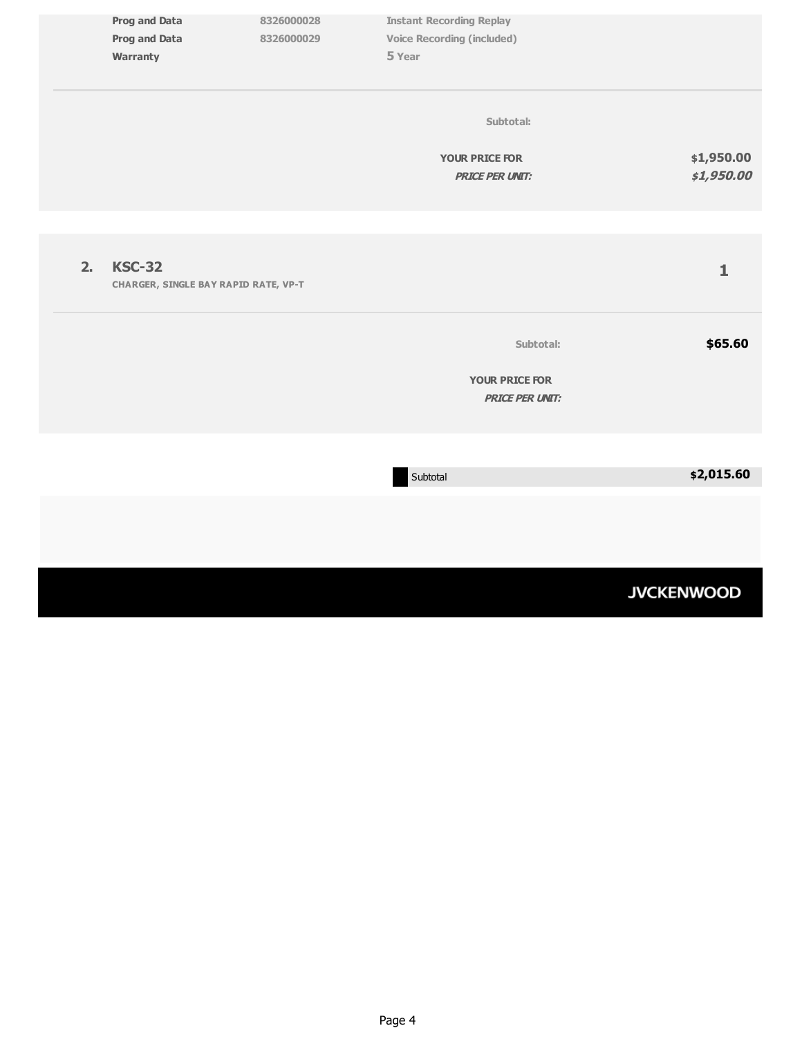| <b>Prog and Data</b><br><b>Prog and Data</b><br>Warranty | 8326000028<br>8326000029                    | <b>Instant Recording Replay</b><br><b>Voice Recording (included)</b><br>5 Year |                          |
|----------------------------------------------------------|---------------------------------------------|--------------------------------------------------------------------------------|--------------------------|
|                                                          |                                             | Subtotal:<br><b>YOUR PRICE FOR</b><br><b>PRICE PER UNIT:</b>                   | \$1,950.00<br>\$1,950.00 |
| <b>KSC-32</b><br>2.                                      | <b>CHARGER, SINGLE BAY RAPID RATE, VP-T</b> |                                                                                | $\mathbf 1$              |
|                                                          |                                             | Subtotal:<br><b>YOUR PRICE FOR</b><br><b>PRICE PER UNIT:</b>                   | \$65.60                  |
|                                                          |                                             | Subtotal                                                                       | \$2,015.60               |

# **JVCKENWOOD**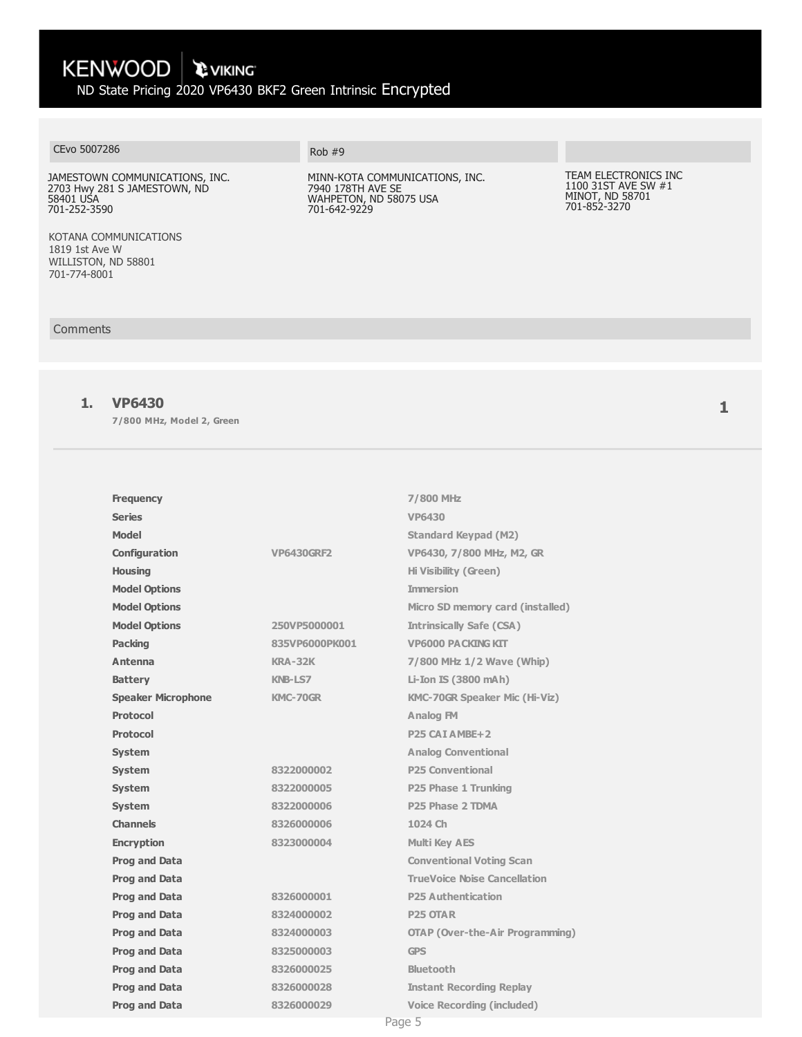# KENWOOD \ PVIKING

ND State Pricing 2020 VP6430 BKF2 Green Intrinsic Encrypted

# CEvo 5007286 Rob #9

JAMESTOWN COMMUNICATIONS, INC. 2703 Hwy 281 S JAMESTOWN, ND 58401 USA 701-252-3590

KOTANA COMMUNICATIONS 1819 1st Ave W WILLISTON, ND 58801 701-774-8001

#### Comments

### **1. VP6430**

**7/800 MHz, Model 2, Green**

| <b>Frequency</b>          |                   | 7/800 MHz                              |
|---------------------------|-------------------|----------------------------------------|
| <b>Series</b>             |                   | <b>VP6430</b>                          |
| <b>Model</b>              |                   | <b>Standard Keypad (M2)</b>            |
| Configuration             | <b>VP6430GRF2</b> | VP6430, 7/800 MHz, M2, GR              |
| <b>Housing</b>            |                   | <b>Hi Visibility (Green)</b>           |
| <b>Model Options</b>      |                   | <b>Immersion</b>                       |
| <b>Model Options</b>      |                   | Micro SD memory card (installed)       |
| <b>Model Options</b>      | 250VP5000001      | <b>Intrinsically Safe (CSA)</b>        |
| <b>Packing</b>            | 835VP6000PK001    | <b>VP6000 PACKING KIT</b>              |
| Antenna                   | <b>KRA-32K</b>    | 7/800 MHz 1/2 Wave (Whip)              |
| <b>Battery</b>            | KNB-LS7           | Li-Ion IS (3800 mAh)                   |
| <b>Speaker Microphone</b> | <b>KMC-70GR</b>   | <b>KMC-70GR Speaker Mic (Hi-Viz)</b>   |
| <b>Protocol</b>           |                   | <b>Analog FM</b>                       |
| <b>Protocol</b>           |                   | P <sub>25</sub> CAI AMBE <sub>+2</sub> |
| <b>System</b>             |                   | <b>Analog Conventional</b>             |
| <b>System</b>             | 8322000002        | <b>P25 Conventional</b>                |
| <b>System</b>             | 8322000005        | P25 Phase 1 Trunking                   |
| <b>System</b>             | 8322000006        | P <sub>25</sub> Phase 2 TDMA           |
| <b>Channels</b>           | 8326000006        | 1024 Ch                                |
| <b>Encryption</b>         | 8323000004        | <b>Multi Key AES</b>                   |
| <b>Prog and Data</b>      |                   | <b>Conventional Voting Scan</b>        |
| <b>Prog and Data</b>      |                   | <b>TrueVoice Noise Cancellation</b>    |
| Prog and Data             | 8326000001        | <b>P25 Authentication</b>              |
| Prog and Data             | 8324000002        | <b>P25 OTAR</b>                        |
| <b>Prog and Data</b>      | 8324000003        | <b>OTAP (Over-the-Air Programming)</b> |
| Prog and Data             | 8325000003        | <b>GPS</b>                             |
| <b>Prog and Data</b>      | 8326000025        | <b>Bluetooth</b>                       |
| Prog and Data             | 8326000028        | <b>Instant Recording Replay</b>        |
| <b>Prog and Data</b>      | 8326000029        | <b>Voice Recording (included)</b>      |

MINN-KOTA COMMUNICATIONS, INC. 7940 178TH AVE SE WAHPETON, ND 58075 USA 701-642-9229

#### TEAM ELECTRONICS INC 1100 31ST AVE SW #1 MINOT, ND 58701 701-852-3270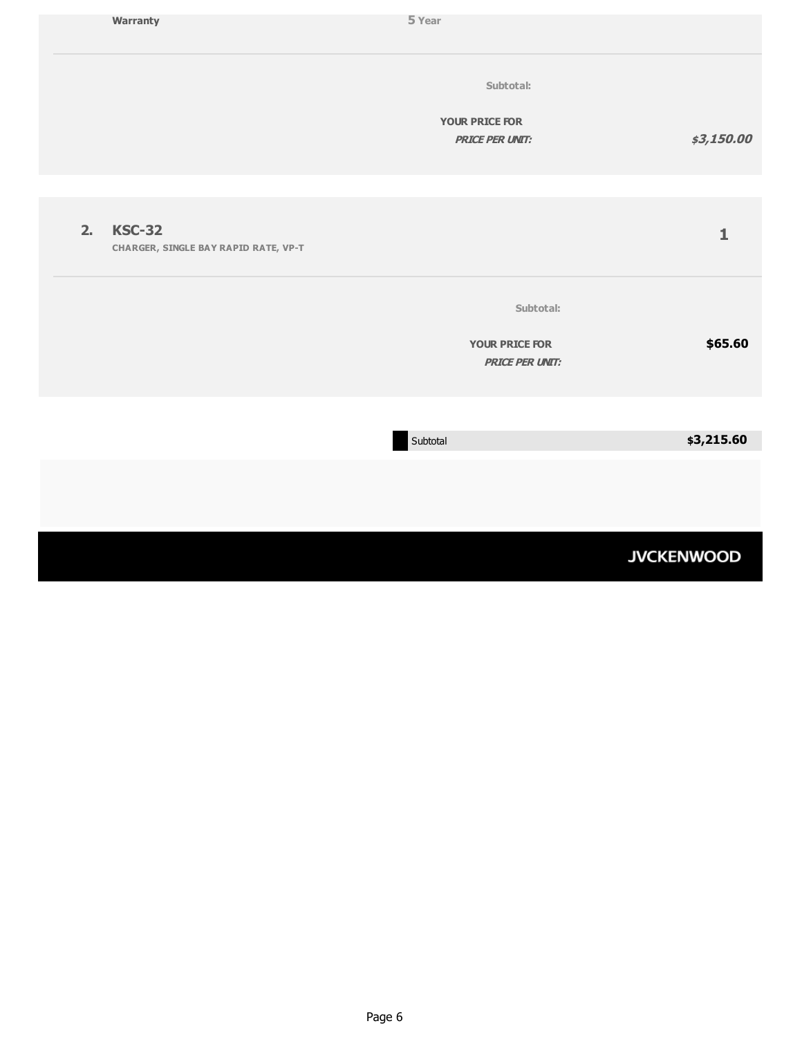|    | Warranty                                                     | 5 Year                                          |                   |
|----|--------------------------------------------------------------|-------------------------------------------------|-------------------|
|    |                                                              | Subtotal:                                       |                   |
|    |                                                              | <b>YOUR PRICE FOR</b><br><b>PRICE PER UNIT:</b> | \$3,150.00        |
|    |                                                              |                                                 |                   |
| 2. | <b>KSC-32</b><br><b>CHARGER, SINGLE BAY RAPID RATE, VP-T</b> |                                                 | $\mathbf{1}$      |
|    |                                                              | Subtotal:                                       |                   |
|    |                                                              | <b>YOUR PRICE FOR</b><br><b>PRICE PER UNIT:</b> | \$65.60           |
|    |                                                              |                                                 |                   |
|    |                                                              | Subtotal                                        | \$3,215.60        |
|    |                                                              |                                                 |                   |
|    |                                                              |                                                 | <b>JVCKENWOOD</b> |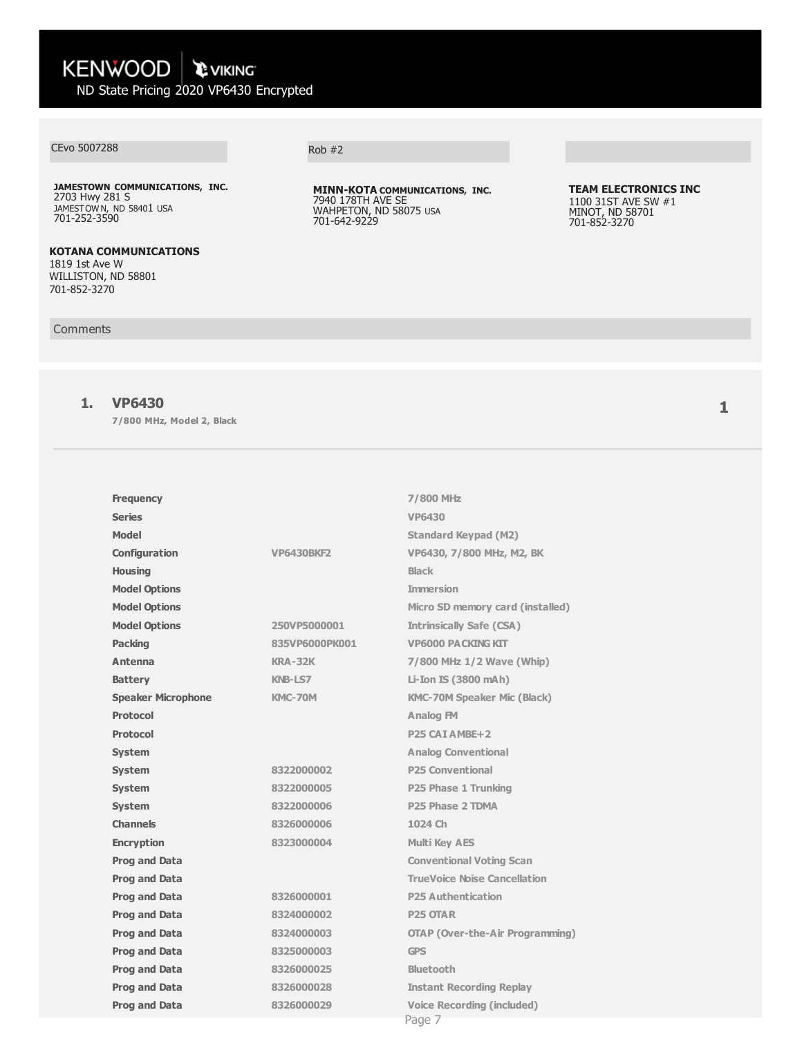## CEvo 5007288

**JAMESTOWN COMMUNICATIONS, INC.**  2703 Hwy 281 S JAMESTOWN, ND 58401 USA 701-252-3590

### **KOTANA COMMUNICATIONS**

1819 1st Ave W WILLISTON, ND 58801 701-852-3270

#### **Comments**

## **1. VP6430**

**7/800 MHz, Model 2, Black**

| <b>Frequency</b>          |                   | 7/800 MHz                                   |
|---------------------------|-------------------|---------------------------------------------|
| <b>Series</b>             |                   | VP6430                                      |
| Model                     |                   | <b>Standard Keypad (M2)</b>                 |
| Configuration             | <b>VP6430BKF2</b> | VP6430, 7/800 MHz, M2, BK                   |
| <b>Housing</b>            |                   | <b>Black</b>                                |
| <b>Model Options</b>      |                   | <b>Immersion</b>                            |
| <b>Model Options</b>      |                   | Micro SD memory card (installed)            |
| <b>Model Options</b>      | 250VP5000001      | <b>Intrinsically Safe (CSA)</b>             |
| <b>Packing</b>            | 835VP6000PK001    | <b>VP6000 PACKING KIT</b>                   |
| Antenna                   | $KRA-32K$         | 7/800 MHz 1/2 Wave (Whip)                   |
| <b>Battery</b>            | <b>KNB-LS7</b>    | Li-Ion IS (3800 mAh)                        |
| <b>Speaker Microphone</b> | KMC-70M           | <b>KMC-70M Speaker Mic (Black)</b>          |
| <b>Protocol</b>           |                   | Analog FM                                   |
| <b>Protocol</b>           |                   | P <sub>25</sub> CAI AMBE <sub>+2</sub>      |
| <b>System</b>             |                   | <b>Analog Conventional</b>                  |
| <b>System</b>             | 8322000002        | <b>P25 Conventional</b>                     |
| <b>System</b>             | 8322000005        | P25 Phase 1 Trunking                        |
| <b>System</b>             | 8322000006        | P25 Phase 2 TDMA                            |
| <b>Channels</b>           | 8326000006        | 1024 Ch                                     |
| <b>Encryption</b>         | 8323000004        | <b>Multi Key AES</b>                        |
| <b>Prog and Data</b>      |                   | <b>Conventional Voting Scan</b>             |
| Prog and Data             |                   | <b>TrueVoice Noise Cancellation</b>         |
| <b>Prog and Data</b>      | 8326000001        | <b>P25 Authentication</b>                   |
| <b>Prog and Data</b>      | 8324000002        | <b>P25 OTAR</b>                             |
| <b>Prog and Data</b>      | 8324000003        | <b>OTAP (Over-the-Air Programming)</b>      |
| Prog and Data             | 8325000003        | <b>GPS</b>                                  |
| Prog and Data             | 8326000025        | <b>Bluetooth</b>                            |
| Prog and Data             | 8326000028        | <b>Instant Recording Replay</b>             |
| <b>Prog and Data</b>      | 8326000029        | <b>Voice Recording (included)</b><br>Page 7 |

Rob #2

**MINN-KOTA COMMUNICATIONS, INC.** 7940 178TH AVE SE WAHPETON, ND 58075 USA 701-642-9229

#### **TEAM ELECTRONICS INC** 1100 31ST AVE SW #1 MINOT, ND 58701 701-852-3270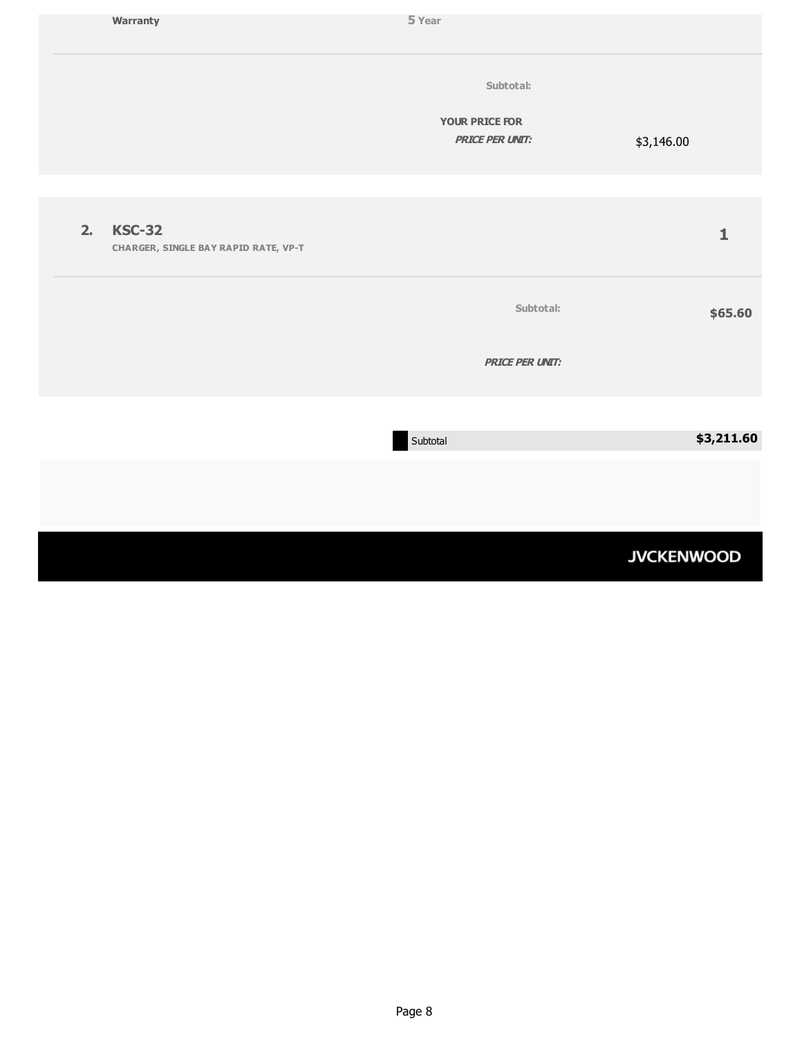|    | Warranty                                                     | 5 Year                                          |                   |
|----|--------------------------------------------------------------|-------------------------------------------------|-------------------|
|    |                                                              | Subtotal:                                       |                   |
|    |                                                              | <b>YOUR PRICE FOR</b><br><b>PRICE PER UNIT:</b> | \$3,146.00        |
|    |                                                              |                                                 |                   |
| 2. | <b>KSC-32</b><br><b>CHARGER, SINGLE BAY RAPID RATE, VP-T</b> |                                                 | $\mathbf{1}$      |
|    |                                                              | Subtotal:                                       | \$65.60           |
|    |                                                              | <b>PRICE PER UNIT:</b>                          |                   |
|    |                                                              |                                                 |                   |
|    |                                                              | Subtotal                                        | \$3,211.60        |
|    |                                                              |                                                 |                   |
|    |                                                              |                                                 | <b>JVCKENWOOD</b> |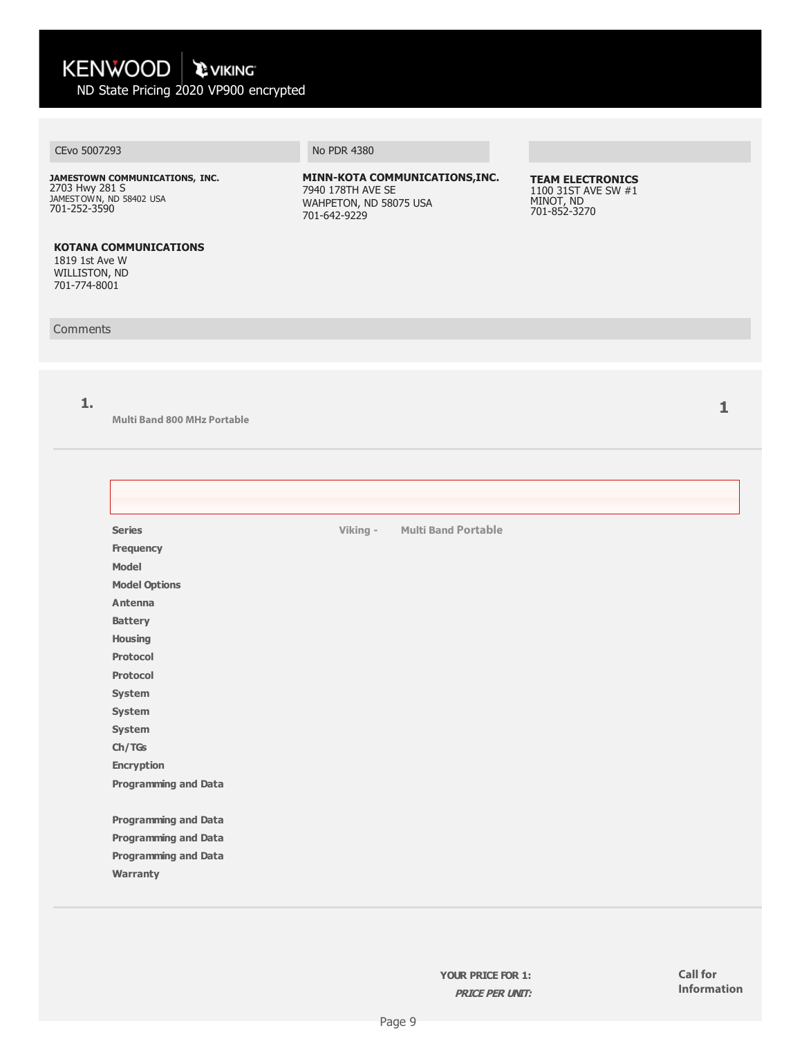#### CEvo 5007293 No PDR 4380

**JAMESTOWN COMMUNICATIONS, INC.**  2703 Hwy 281 S<br>jamestown, nd 58402 USA 701-252-3590

**MINN-KOTA COMMUNICATIONS,INC.** 7940 178TH AVE SE WAHPETON, ND 58075 USA 701-642-9229

**TEAM ELECTRONICS** 1100 31ST AVE SW #1 MINOT, ND 701-852-3270

#### **KOTANA COMMUNICATIONS** 1819 1st Ave W

WILLISTON, ND 701-774-8001

#### **Comments**

**1.**

**Multi Band 800 MHz Portable**

| <b>Series</b>               | Viking - | <b>Multi Band Portable</b> |
|-----------------------------|----------|----------------------------|
| Frequency                   |          |                            |
| <b>Model</b>                |          |                            |
| <b>Model Options</b>        |          |                            |
| Antenna                     |          |                            |
| <b>Battery</b>              |          |                            |
| Housing                     |          |                            |
| <b>Protocol</b>             |          |                            |
| <b>Protocol</b>             |          |                            |
| System                      |          |                            |
| System                      |          |                            |
| System                      |          |                            |
| Ch/TGs                      |          |                            |
| <b>Encryption</b>           |          |                            |
| <b>Programming and Data</b> |          |                            |
|                             |          |                            |
| <b>Programming and Data</b> |          |                            |
| <b>Programming and Data</b> |          |                            |
| <b>Programming and Data</b> |          |                            |
| Warranty                    |          |                            |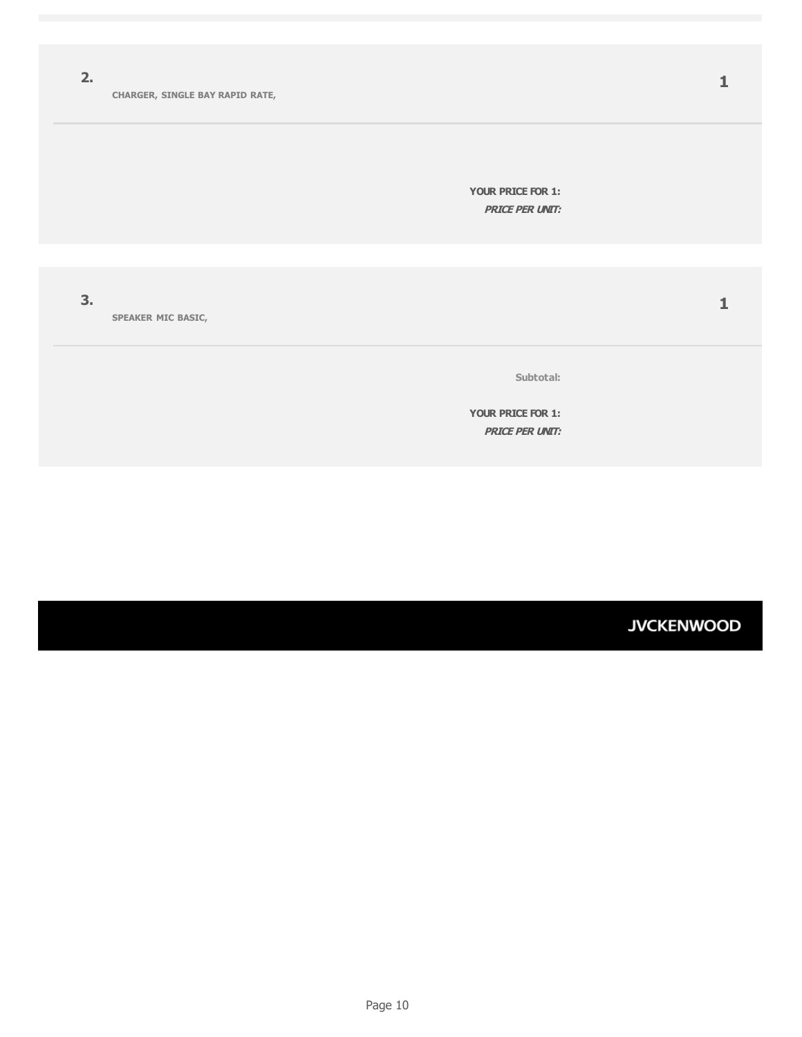**2.**

**YOUR PRICE FOR 1: PRICE PER UNIT:**

**3.**

**SPEAKER MIC BASIC,** 

**Subtotal:**

**YOUR PRICE FOR 1: PRICE PER UNIT:**

**JVCKENWOOD**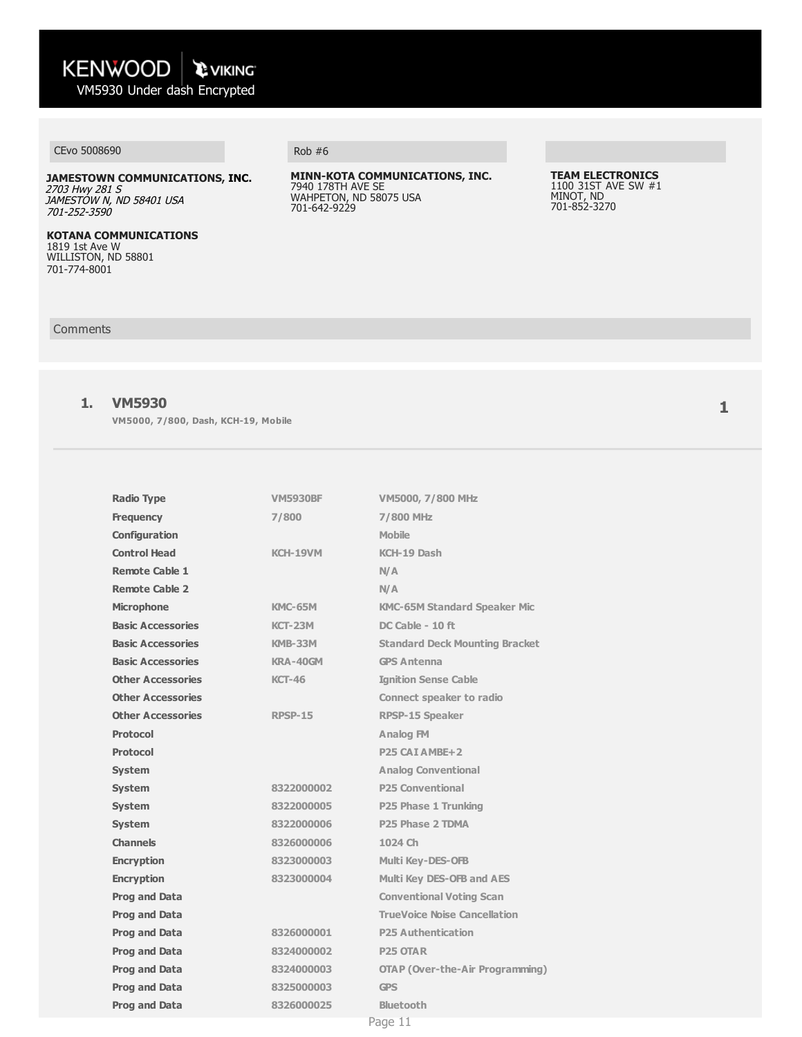### CEvo 5008690 Rob #6

**JAMESTOWN COMMUNICATIONS, INC.** 2703 Hwy 281 S JAMESTOW N, ND 58401 USA 701-252-3590

**KOTANA COMMUNICATIONS** 1819 1st Ave W WILLISTON, ND 58801 701-774-8001

**MINN-KOTA COMMUNICATIONS, INC.** 7940 178TH AVE SE WAHPETON, ND 58075 USA 701-642-9229

**TEAM ELECTRONICS**  1100 31ST AVE SW #1 MINOT, ND 701-852-3270

#### **Comments**

#### **1. VM5930**

**VM5000, 7/800, Dash, KCH-19, Mobile**

| <b>Radio Type</b>        | <b>VM5930BF</b> | VM5000, 7/800 MHz                      |
|--------------------------|-----------------|----------------------------------------|
| <b>Frequency</b>         | 7/800           | <b>7/800 MHz</b>                       |
| Configuration            |                 | Mobile                                 |
| <b>Control Head</b>      | <b>KCH-19VM</b> | KCH-19 Dash                            |
| <b>Remote Cable 1</b>    |                 | N/A                                    |
| <b>Remote Cable 2</b>    |                 | N/A                                    |
| <b>Microphone</b>        | <b>KMC-65M</b>  | <b>KMC-65M Standard Speaker Mic</b>    |
| <b>Basic Accessories</b> | <b>KCT-23M</b>  | $DC$ Cable $-10$ ft                    |
| <b>Basic Accessories</b> | <b>KMB-33M</b>  | <b>Standard Deck Mounting Bracket</b>  |
| <b>Basic Accessories</b> | KRA-40GM        | <b>GPS Antenna</b>                     |
| <b>Other Accessories</b> | <b>KCT-46</b>   | <b>Ignition Sense Cable</b>            |
| <b>Other Accessories</b> |                 | <b>Connect speaker to radio</b>        |
| <b>Other Accessories</b> | <b>RPSP-15</b>  | RPSP-15 Speaker                        |
| <b>Protocol</b>          |                 | <b>Analog FM</b>                       |
| <b>Protocol</b>          |                 | P <sub>25</sub> CAI AMBE <sub>+2</sub> |
| <b>System</b>            |                 | <b>Analog Conventional</b>             |
| <b>System</b>            | 8322000002      | <b>P25 Conventional</b>                |
| <b>System</b>            | 8322000005      | P25 Phase 1 Trunking                   |
| <b>System</b>            | 8322000006      | P25 Phase 2 TDMA                       |
| <b>Channels</b>          | 8326000006      | 1024 Ch                                |
| <b>Encryption</b>        | 8323000003      | <b>Multi Key-DES-OFB</b>               |
| <b>Encryption</b>        | 8323000004      | Multi Key DES-OFB and AES              |
| <b>Prog and Data</b>     |                 | <b>Conventional Voting Scan</b>        |
| <b>Prog and Data</b>     |                 | <b>TrueVoice Noise Cancellation</b>    |
| <b>Prog and Data</b>     | 8326000001      | <b>P25 Authentication</b>              |
| <b>Prog and Data</b>     | 8324000002      | <b>P25 OTAR</b>                        |
| <b>Prog and Data</b>     | 8324000003      | <b>OTAP (Over-the-Air Programming)</b> |
| <b>Prog and Data</b>     | 8325000003      | <b>GPS</b>                             |
| <b>Prog and Data</b>     | 8326000025      | <b>Bluetooth</b>                       |
|                          |                 |                                        |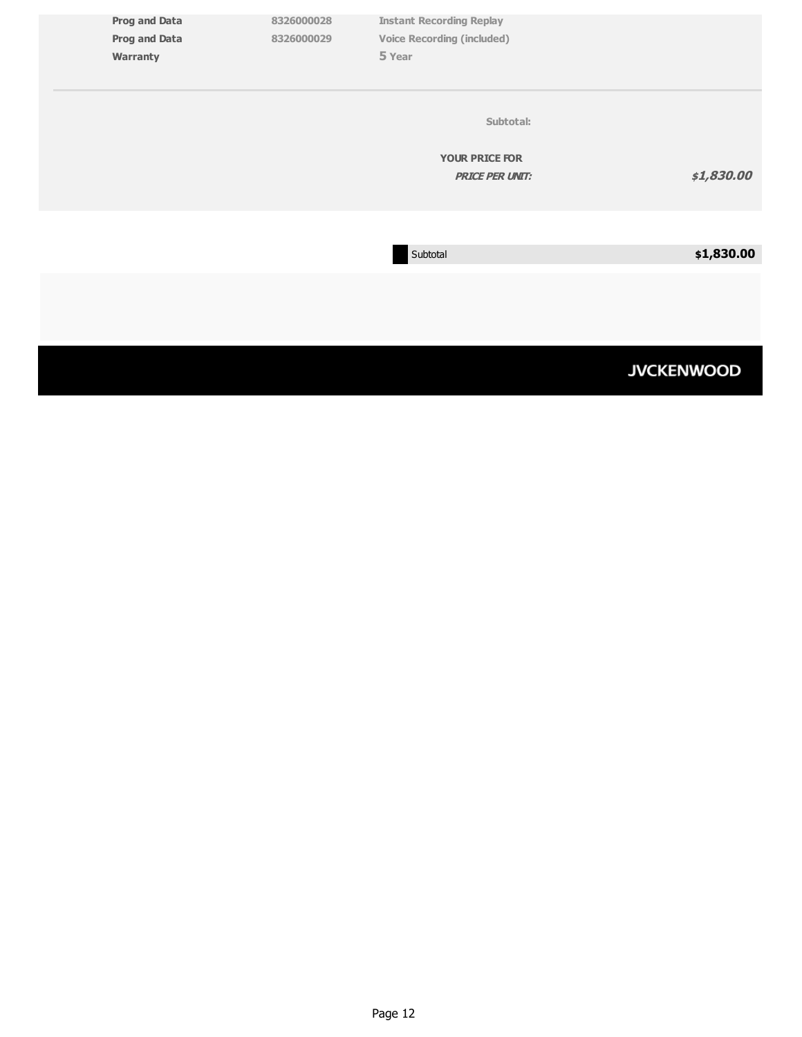| <b>Prog and Data</b> | 8326000028 | <b>Instant Recording Replay</b>   |                   |
|----------------------|------------|-----------------------------------|-------------------|
| <b>Prog and Data</b> | 8326000029 | <b>Voice Recording (included)</b> |                   |
| Warranty             |            | 5 Year                            |                   |
|                      |            |                                   |                   |
|                      |            |                                   |                   |
|                      |            |                                   |                   |
|                      |            | Subtotal:                         |                   |
|                      |            |                                   |                   |
|                      |            |                                   |                   |
|                      |            | <b>YOUR PRICE FOR</b>             |                   |
|                      |            | <b>PRICE PER UNIT:</b>            | \$1,830.00        |
|                      |            |                                   |                   |
|                      |            |                                   |                   |
|                      |            |                                   |                   |
|                      |            |                                   |                   |
|                      |            | Subtotal                          | \$1,830.00        |
|                      |            |                                   |                   |
|                      |            |                                   |                   |
|                      |            |                                   |                   |
|                      |            |                                   |                   |
|                      |            |                                   |                   |
|                      |            |                                   |                   |
|                      |            |                                   |                   |
|                      |            |                                   | <b>JVCKENWOOD</b> |
|                      |            |                                   |                   |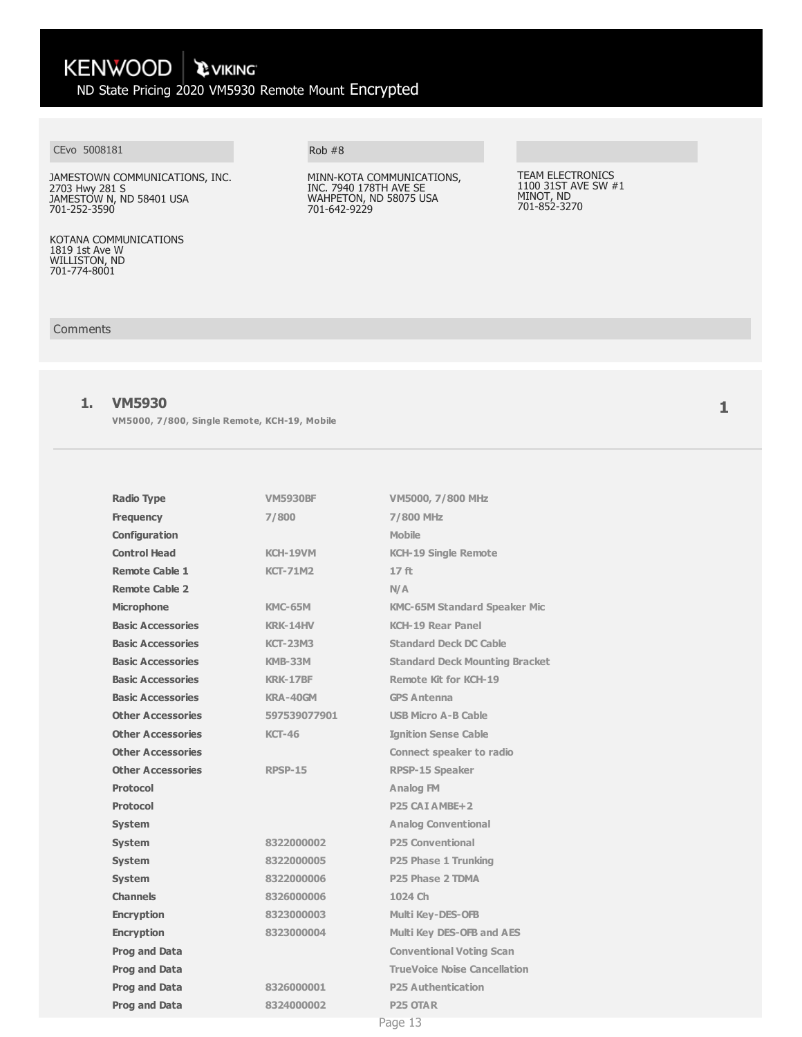#### CEvo 5008181

JAMESTOWN COMMUNICATIONS, INC. 2703 Hwy 281 S JAMESTOW N, ND 58401 USA 701-252-3590

KOTANA COMMUNICATIONS 1819 1st Ave W WILLISTON, ND 701-774-8001

### Rob #8

MINN-KOTA COMMUNICATIONS, INC. 7940 178TH AVE SE WAHPETON, ND 58075 USA 701-642-9229

TEAM ELECTRONICS 1100 31ST AVE SW #1 MINOT, ND 701-852-3270

#### Comments

#### **1. VM5930**

**VM5000, 7/800, Single Remote, KCH-19, Mobile**

| <b>Radio Type</b>        | <b>VM5930BF</b> | VM5000, 7/800 MHz                     |
|--------------------------|-----------------|---------------------------------------|
| <b>Frequency</b>         | 7/800           | <b>7/800 MHz</b>                      |
| Configuration            |                 | <b>Mobile</b>                         |
| <b>Control Head</b>      | <b>KCH-19VM</b> | <b>KCH-19 Single Remote</b>           |
| <b>Remote Cable 1</b>    | <b>KCT-71M2</b> | 17 <sub>ft</sub>                      |
| <b>Remote Cable 2</b>    |                 | N/A                                   |
| <b>Microphone</b>        | <b>KMC-65M</b>  | <b>KMC-65M Standard Speaker Mic</b>   |
| <b>Basic Accessories</b> | <b>KRK-14HV</b> | <b>KCH-19 Rear Panel</b>              |
| <b>Basic Accessories</b> | <b>KCT-23M3</b> | <b>Standard Deck DC Cable</b>         |
| <b>Basic Accessories</b> | <b>KMB-33M</b>  | <b>Standard Deck Mounting Bracket</b> |
| <b>Basic Accessories</b> | <b>KRK-17BF</b> | <b>Remote Kit for KCH-19</b>          |
| <b>Basic Accessories</b> | KRA-40GM        | <b>GPS Antenna</b>                    |
| <b>Other Accessories</b> | 597539077901    | <b>USB Micro A-B Cable</b>            |
| <b>Other Accessories</b> | <b>KCT-46</b>   | <b>Ignition Sense Cable</b>           |
| <b>Other Accessories</b> |                 | <b>Connect speaker to radio</b>       |
| <b>Other Accessories</b> | <b>RPSP-15</b>  | <b>RPSP-15 Speaker</b>                |
| Protocol                 |                 | Analog FM                             |
| <b>Protocol</b>          |                 | P <sub>25</sub> CAI AMBE+2            |
| <b>System</b>            |                 | <b>Analog Conventional</b>            |
| <b>System</b>            | 8322000002      | <b>P25 Conventional</b>               |
| <b>System</b>            | 8322000005      | P25 Phase 1 Trunking                  |
| <b>System</b>            | 8322000006      | P <sub>25</sub> Phase 2 TDMA          |
| <b>Channels</b>          | 8326000006      | 1024 Ch                               |
| <b>Encryption</b>        | 8323000003      | <b>Multi Key-DES-OFB</b>              |
| <b>Encryption</b>        | 8323000004      | Multi Key DES-OFB and AES             |
| <b>Prog and Data</b>     |                 | <b>Conventional Voting Scan</b>       |
| <b>Prog and Data</b>     |                 | <b>TrueVoice Noise Cancellation</b>   |
| <b>Prog and Data</b>     | 8326000001      | <b>P25 Authentication</b>             |
| <b>Prog and Data</b>     | 8324000002      | <b>P25 OTAR</b>                       |
|                          |                 | Page 13                               |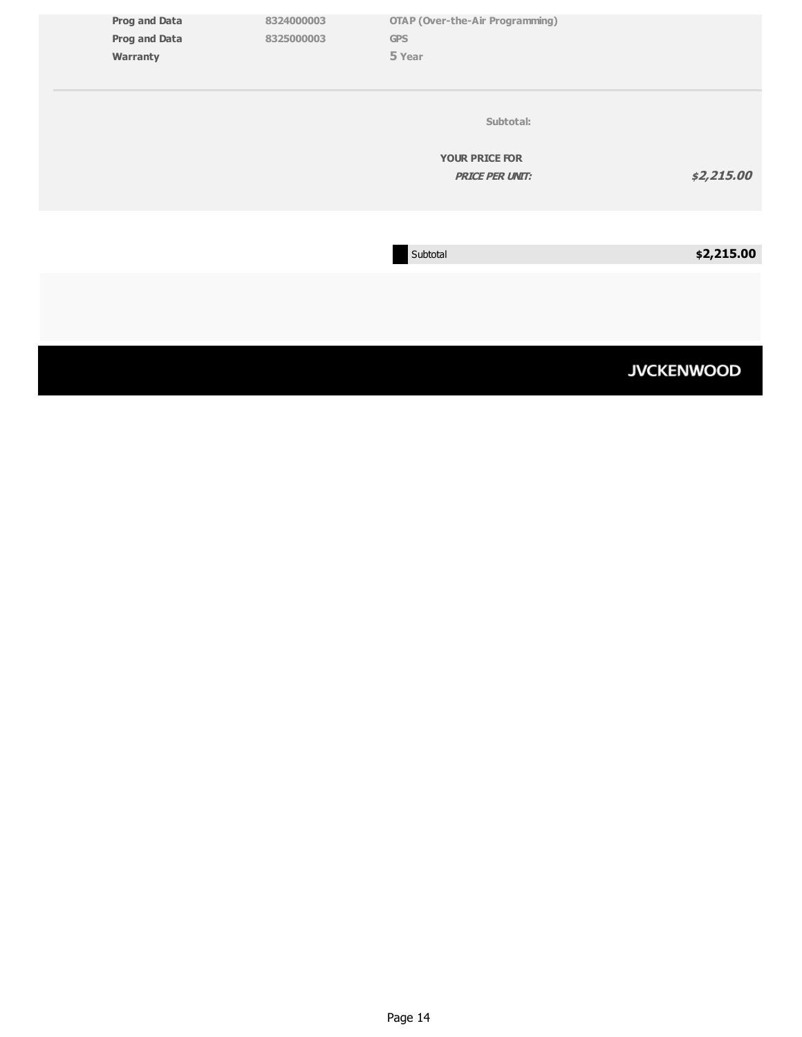| <b>Prog and Data</b><br><b>Prog and Data</b><br>Warranty | 8324000003<br>8325000003 | <b>OTAP (Over-the-Air Programming)</b><br><b>GPS</b><br>5 Year |                   |
|----------------------------------------------------------|--------------------------|----------------------------------------------------------------|-------------------|
|                                                          |                          | Subtotal:<br><b>YOUR PRICE FOR</b><br><b>PRICE PER UNIT:</b>   | \$2,215.00        |
|                                                          |                          | Subtotal                                                       | \$2,215.00        |
|                                                          |                          |                                                                | <b>JVCKENWOOD</b> |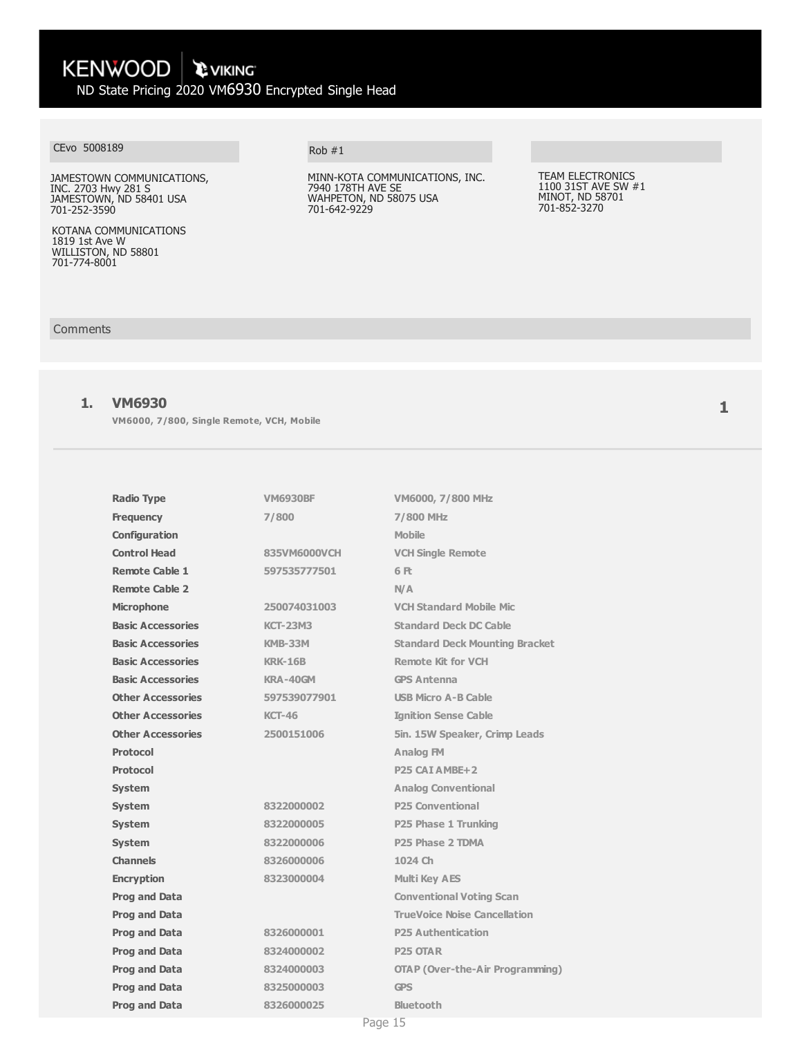#### CEvo 5008189

JAMESTOWN COMMUNICATIONS, INC. 2703 Hwy 281 S JAMESTOWN, ND 58401 USA 701-252-3590

KOTANA COMMUNICATIONS 1819 1st Ave W WILLISTON, ND 58801 701-774-8001

#### Rob #1

MINN-KOTA COMMUNICATIONS, INC. 7940 178TH AVE SE WAHPETON, ND 58075 USA 701-642-9229

TEAM ELECTRONICS 1100 31ST AVE SW #1 MINOT, ND 58701 701-852-3270

### **Comments**

#### **1. VM6930**

**VM6000, 7/800, Single Remote, VCH, Mobile**

| <b>Radio Type</b>        | <b>VM6930BF</b> | VM6000, 7/800 MHz                      |
|--------------------------|-----------------|----------------------------------------|
| <b>Frequency</b>         | 7/800           | 7/800 MHz                              |
| Configuration            |                 | <b>Mobile</b>                          |
| <b>Control Head</b>      | 835VM6000VCH    | <b>VCH Single Remote</b>               |
| <b>Remote Cable 1</b>    | 597535777501    | 6 Ft                                   |
| <b>Remote Cable 2</b>    |                 | N/A                                    |
| <b>Microphone</b>        | 250074031003    | <b>VCH Standard Mobile Mic</b>         |
| <b>Basic Accessories</b> | <b>KCT-23M3</b> | <b>Standard Deck DC Cable</b>          |
| <b>Basic Accessories</b> | <b>KMB-33M</b>  | <b>Standard Deck Mounting Bracket</b>  |
| <b>Basic Accessories</b> | <b>KRK-16B</b>  | <b>Remote Kit for VCH</b>              |
| <b>Basic Accessories</b> | KRA-40GM        | <b>GPS Antenna</b>                     |
| <b>Other Accessories</b> | 597539077901    | <b>USB Micro A-B Cable</b>             |
| <b>Other Accessories</b> | <b>KCT-46</b>   | <b>Ignition Sense Cable</b>            |
| <b>Other Accessories</b> | 2500151006      | 5in. 15W Speaker, Crimp Leads          |
| Protocol                 |                 | <b>Analog FM</b>                       |
| <b>Protocol</b>          |                 | P25 CAI AMBE+2                         |
| <b>System</b>            |                 | <b>Analog Conventional</b>             |
| <b>System</b>            | 8322000002      | <b>P25 Conventional</b>                |
| <b>System</b>            | 8322000005      | P25 Phase 1 Trunking                   |
| <b>System</b>            | 8322000006      | P <sub>25</sub> Phase 2 TDMA           |
| <b>Channels</b>          | 8326000006      | 1024 Ch                                |
| <b>Encryption</b>        | 8323000004      | <b>Multi Key AES</b>                   |
| <b>Prog and Data</b>     |                 | <b>Conventional Voting Scan</b>        |
| <b>Prog and Data</b>     |                 | <b>TrueVoice Noise Cancellation</b>    |
| <b>Prog and Data</b>     | 8326000001      | <b>P25 Authentication</b>              |
| <b>Prog and Data</b>     | 8324000002      | <b>P25 OTAR</b>                        |
| <b>Prog and Data</b>     | 8324000003      | <b>OTAP (Over-the-Air Programming)</b> |
| <b>Prog and Data</b>     | 8325000003      | <b>GPS</b>                             |
| <b>Prog and Data</b>     | 8326000025      | <b>Bluetooth</b>                       |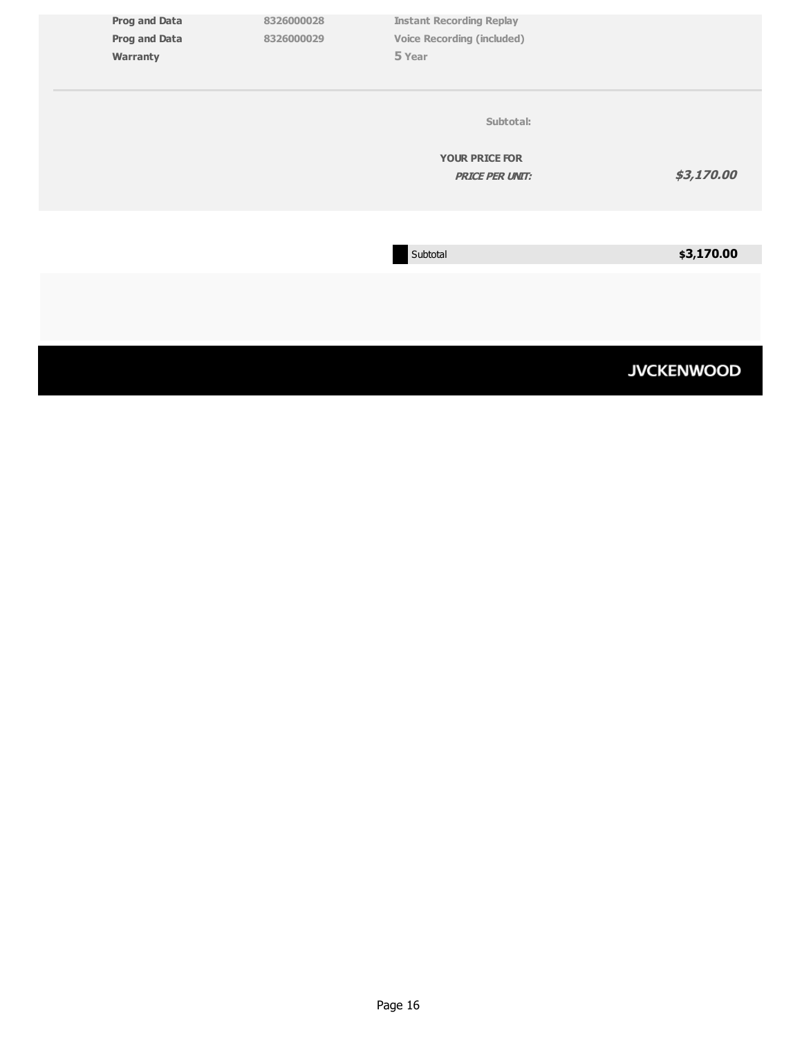| <b>Prog and Data</b> | 8326000028 | <b>Instant Recording Replay</b>   |                   |
|----------------------|------------|-----------------------------------|-------------------|
|                      |            |                                   |                   |
| <b>Prog and Data</b> | 8326000029 | <b>Voice Recording (included)</b> |                   |
| Warranty             |            | 5 Year                            |                   |
|                      |            |                                   |                   |
|                      |            |                                   |                   |
|                      |            | Subtotal:                         |                   |
|                      |            | <b>YOUR PRICE FOR</b>             |                   |
|                      |            |                                   |                   |
|                      |            | <b>PRICE PER UNIT:</b>            | \$3,170.00        |
|                      |            |                                   |                   |
|                      |            |                                   |                   |
|                      |            |                                   |                   |
|                      |            | Subtotal                          | \$3,170.00        |
|                      |            |                                   |                   |
|                      |            |                                   |                   |
|                      |            |                                   |                   |
|                      |            |                                   |                   |
|                      |            |                                   |                   |
|                      |            |                                   |                   |
|                      |            |                                   | <b>JVCKENWOOD</b> |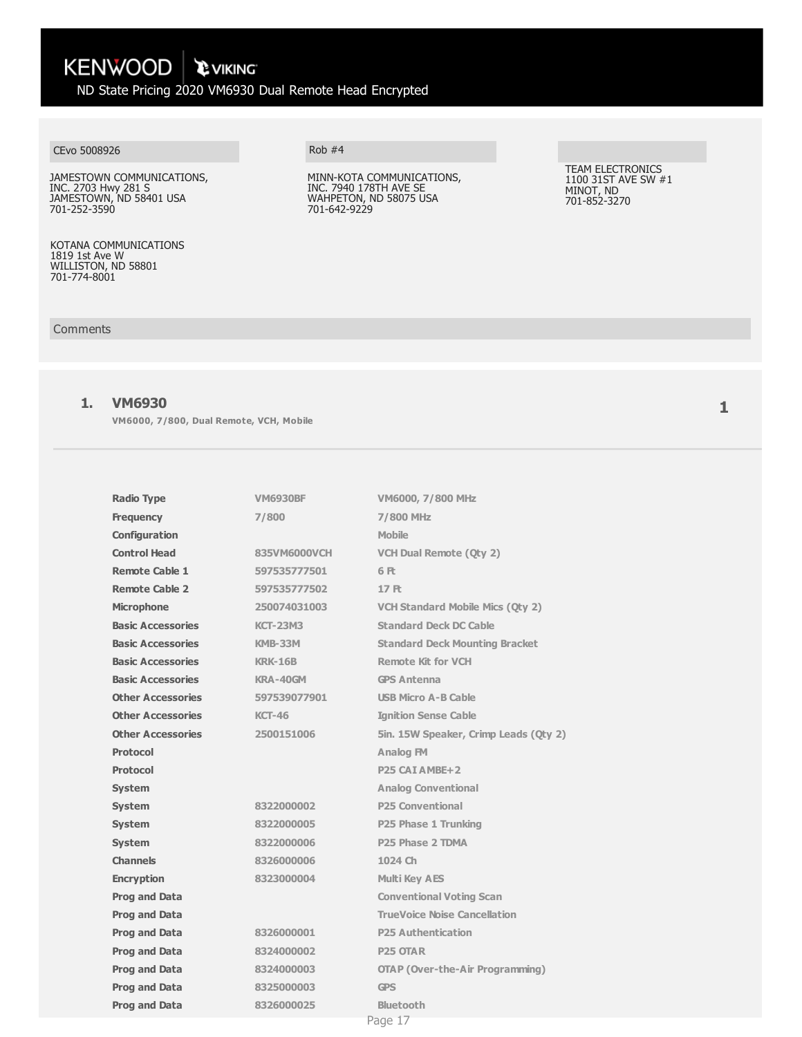**KENWOOD EVIKING** ND State Pricing 2020 VM6930 Dual Remote Head Encrypted

#### CEvo 5008926

JAMESTOWN COMMUNICATIONS, INC. 2703 Hwy 281 S JAMESTOWN, ND 58401 USA 701-252-3590

KOTANA COMMUNICATIONS 1819 1st Ave W WILLISTON, ND 58801 701-774-8001

Rob #4

MINN-KOTA COMMUNICATIONS, INC. 7940 178TH AVE SE WAHPETON, ND 58075 USA 701-642-9229

TEAM ELECTRONICS 1100 31ST AVE SW #1 MINOT, ND 701-852-3270

#### Comments

#### **1. VM6930**

**VM6000, 7/800, Dual Remote, VCH, Mobile**

| <b>Radio Type</b>        | <b>VM6930BF</b> | VM6000, 7/800 MHz                       |
|--------------------------|-----------------|-----------------------------------------|
| <b>Frequency</b>         | 7/800           | <b>7/800 MHz</b>                        |
| Configuration            |                 | <b>Mobile</b>                           |
| <b>Control Head</b>      | 835VM6000VCH    | <b>VCH Dual Remote (Qty 2)</b>          |
| <b>Remote Cable 1</b>    | 597535777501    | 6 Ft                                    |
| <b>Remote Cable 2</b>    | 597535777502    | <b>17日</b>                              |
| <b>Microphone</b>        | 250074031003    | <b>VCH Standard Mobile Mics (Oty 2)</b> |
| <b>Basic Accessories</b> | <b>KCT-23M3</b> | <b>Standard Deck DC Cable</b>           |
| <b>Basic Accessories</b> | <b>KMB-33M</b>  | <b>Standard Deck Mounting Bracket</b>   |
| <b>Basic Accessories</b> | <b>KRK-16B</b>  | <b>Remote Kit for VCH</b>               |
| <b>Basic Accessories</b> | KRA-40GM        | <b>GPS Antenna</b>                      |
| <b>Other Accessories</b> | 597539077901    | <b>USB Micro A-B Cable</b>              |
| <b>Other Accessories</b> | <b>KCT-46</b>   | <b>Ignition Sense Cable</b>             |
| <b>Other Accessories</b> | 2500151006      | 5in. 15W Speaker, Crimp Leads (Oty 2)   |
| <b>Protocol</b>          |                 | Analog FM                               |
| <b>Protocol</b>          |                 | P <sub>25</sub> CAI AMBE <sub>+2</sub>  |
| <b>System</b>            |                 | <b>Analog Conventional</b>              |
| <b>System</b>            | 8322000002      | <b>P25 Conventional</b>                 |
| <b>System</b>            | 8322000005      | P25 Phase 1 Trunking                    |
| <b>System</b>            | 8322000006      | P <sub>25</sub> Phase 2 TDMA            |
| <b>Channels</b>          | 8326000006      | 1024 Ch                                 |
| <b>Encryption</b>        | 8323000004      | <b>Multi Key AES</b>                    |
| <b>Prog and Data</b>     |                 | <b>Conventional Voting Scan</b>         |
| <b>Prog and Data</b>     |                 | <b>TrueVoice Noise Cancellation</b>     |
| <b>Prog and Data</b>     | 8326000001      | <b>P25 Authentication</b>               |
| <b>Prog and Data</b>     | 8324000002      | <b>P25 OTAR</b>                         |
| <b>Prog and Data</b>     | 8324000003      | <b>OTAP (Over-the-Air Programming)</b>  |
| <b>Prog and Data</b>     | 8325000003      | <b>GPS</b>                              |
| <b>Prog and Data</b>     | 8326000025      | <b>Bluetooth</b>                        |
|                          |                 | Page 17                                 |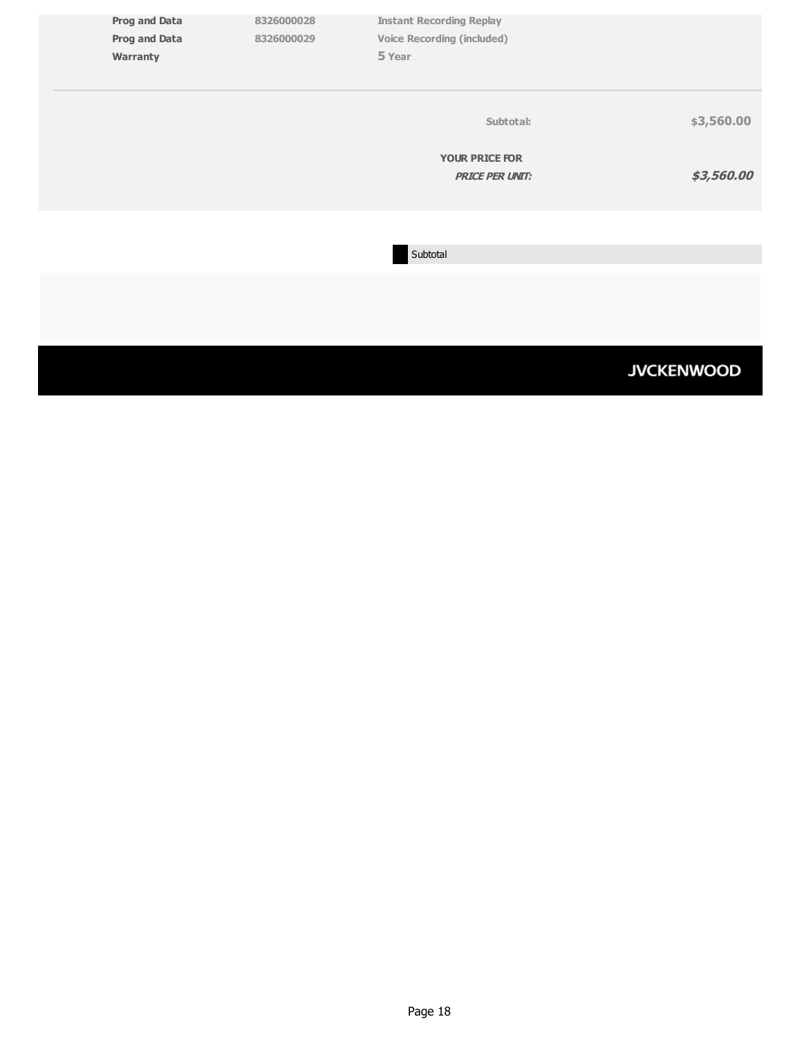|                                              |            |                                                                      | <b>JVCKENWOOD</b> |
|----------------------------------------------|------------|----------------------------------------------------------------------|-------------------|
|                                              |            |                                                                      |                   |
|                                              |            | Subtotal                                                             |                   |
|                                              |            |                                                                      |                   |
|                                              |            | <b>YOUR PRICE FOR</b><br><b>PRICE PER UNIT:</b>                      | \$3,560.00        |
|                                              |            | Subtotal:                                                            | \$3,560.00        |
| Warranty                                     |            | 5 Year                                                               |                   |
| <b>Prog and Data</b><br><b>Prog and Data</b> | 8326000029 | <b>Instant Recording Replay</b><br><b>Voice Recording (included)</b> |                   |
|                                              | 8326000028 |                                                                      |                   |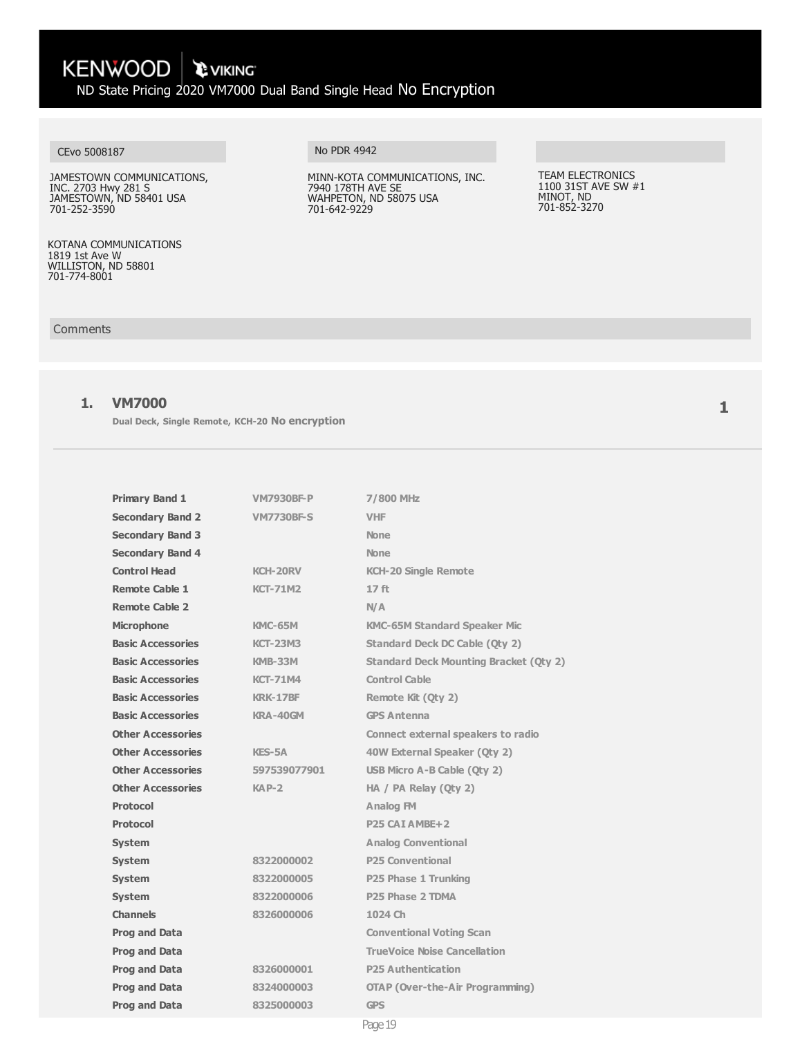KENWOOD \ PVIKING ND State Pricing 2020 VM7000 Dual Band Single Head No Encryption

#### CEvo 5008187

JAMESTOWN COMMUNICATIONS, INC. 2703 Hwy 281 S JAMESTOWN, ND 58401 USA 701-252-3590

KOTANA COMMUNICATIONS 1819 1st Ave W WILLISTON, ND 58801 701-774-8001

Comments

### **1. VM7000**

**Dual Deck, Single Remote, KCH-20 No encryption**

| <b>Primary Band 1</b>    | <b>VM7930BF-P</b> | 7/800 MHz                                     |
|--------------------------|-------------------|-----------------------------------------------|
| <b>Secondary Band 2</b>  | <b>VM7730BF-S</b> | <b>VHF</b>                                    |
| <b>Secondary Band 3</b>  |                   | <b>None</b>                                   |
| <b>Secondary Band 4</b>  |                   | <b>None</b>                                   |
| <b>Control Head</b>      | <b>KCH-20RV</b>   | <b>KCH-20 Single Remote</b>                   |
| <b>Remote Cable 1</b>    | <b>KCT-71M2</b>   | 17 <sub>ft</sub>                              |
| Remote Cable 2           |                   | N/A                                           |
| <b>Microphone</b>        | <b>KMC-65M</b>    | <b>KMC-65M Standard Speaker Mic</b>           |
| <b>Basic Accessories</b> | <b>KCT-23M3</b>   | Standard Deck DC Cable (Oty 2)                |
| <b>Basic Accessories</b> | <b>KMB-33M</b>    | <b>Standard Deck Mounting Bracket (Oty 2)</b> |
| <b>Basic Accessories</b> | <b>KCT-71M4</b>   | <b>Control Cable</b>                          |
| <b>Basic Accessories</b> | <b>KRK-17BF</b>   | Remote Kit (Oty 2)                            |
| <b>Basic Accessories</b> | KRA-40GM          | <b>GPS Antenna</b>                            |
| <b>Other Accessories</b> |                   | <b>Connect external speakers to radio</b>     |
| <b>Other Accessories</b> | KES-5A            | 40W External Speaker (Qty 2)                  |
| <b>Other Accessories</b> | 597539077901      | USB Micro A-B Cable (Qty 2)                   |
| <b>Other Accessories</b> | $KAP-2$           | HA / PA Relay (Oty 2)                         |
| <b>Protocol</b>          |                   | <b>Analog FM</b>                              |
| <b>Protocol</b>          |                   | P <sub>25</sub> CAI AMBE <sub>+2</sub>        |
| <b>System</b>            |                   | <b>Analog Conventional</b>                    |
| <b>System</b>            | 8322000002        | <b>P25 Conventional</b>                       |
| <b>System</b>            | 8322000005        | P25 Phase 1 Trunking                          |
| <b>System</b>            | 8322000006        | P25 Phase 2 TDMA                              |
| <b>Channels</b>          | 8326000006        | 1024 Ch                                       |
| <b>Prog and Data</b>     |                   | <b>Conventional Voting Scan</b>               |
| <b>Prog and Data</b>     |                   | <b>TrueVoice Noise Cancellation</b>           |
| <b>Prog and Data</b>     | 8326000001        | <b>P25 Authentication</b>                     |
| <b>Prog and Data</b>     | 8324000003        | <b>OTAP (Over-the-Air Programming)</b>        |
| <b>Prog and Data</b>     | 8325000003        | <b>GPS</b>                                    |
|                          |                   |                                               |

No PDR 4942

MINN-KOTA COMMUNICATIONS, INC. 7940 178TH AVE SE WAHPETON, ND 58075 USA 701-642-9229

TEAM ELECTRONICS 1100 31ST AVE SW #1 MINOT, ND 701-852-3270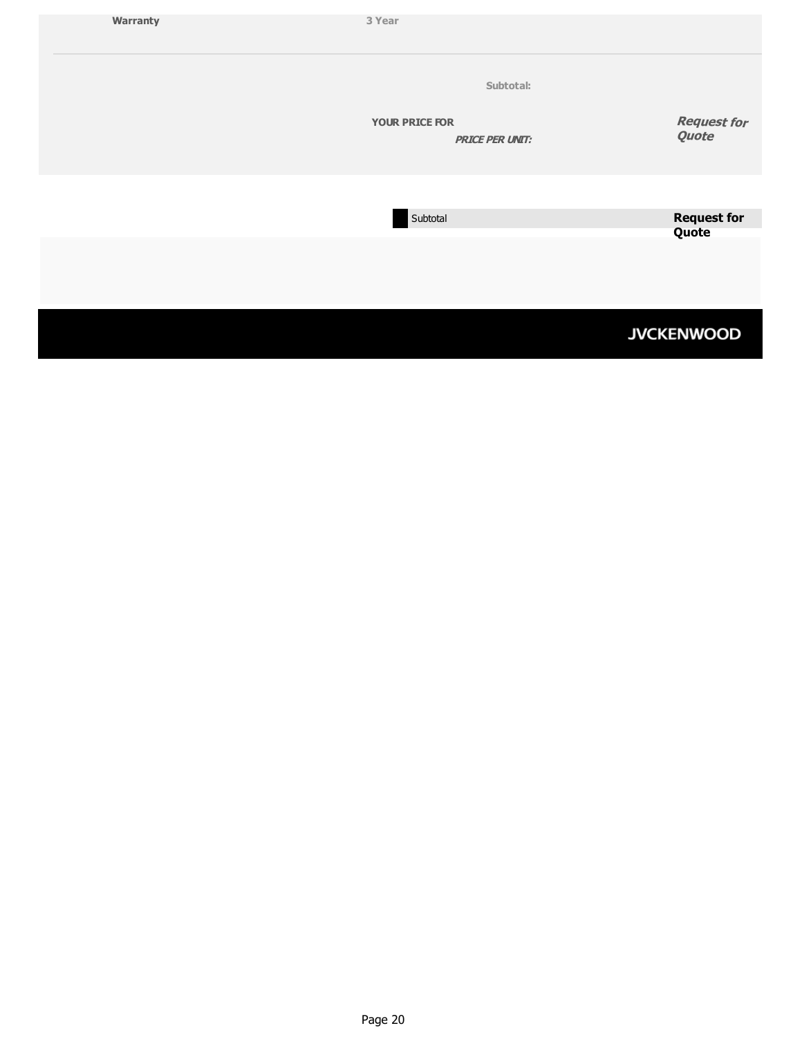| Warranty | 3 Year                                                       |                             |
|----------|--------------------------------------------------------------|-----------------------------|
|          | Subtotal:<br><b>YOUR PRICE FOR</b><br><b>PRICE PER UNIT:</b> | <b>Request for</b><br>Quote |
|          | Subtotal                                                     | <b>Request for</b>          |
|          |                                                              | Quote                       |
|          |                                                              | <b>JVCKENWOOD</b>           |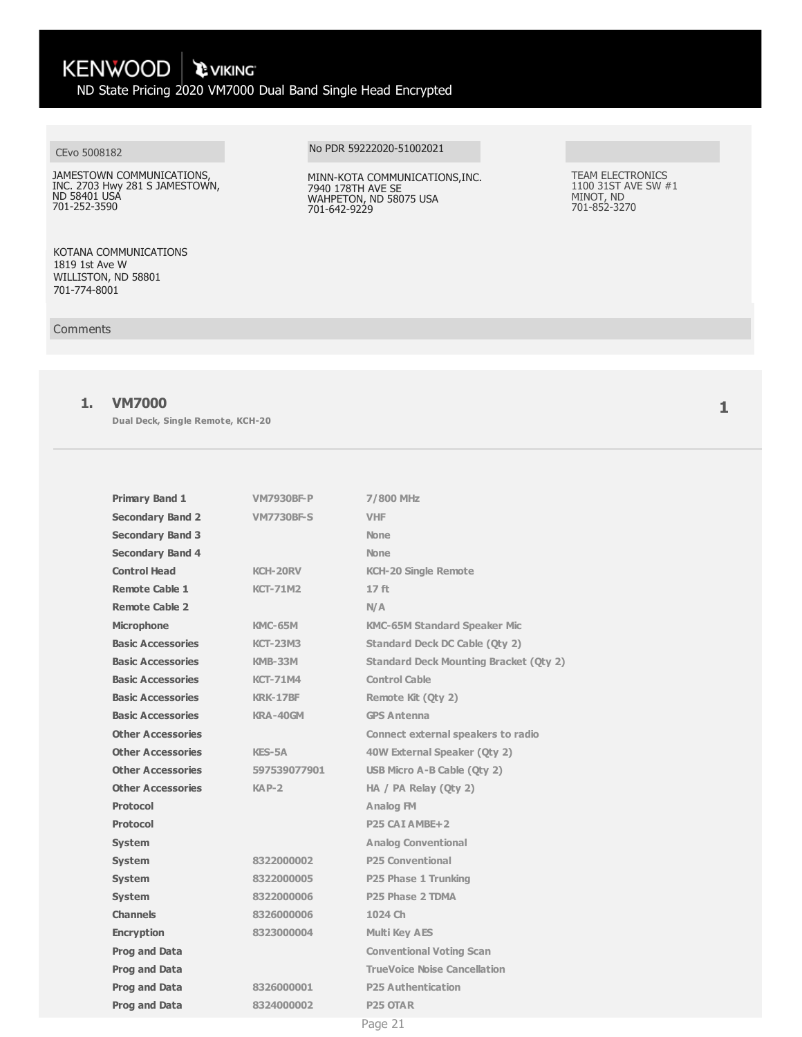KENWOOD \ PVIKING

ND State Pricing 2020 VM7000 Dual Band Single Head Encrypted

#### CEvo 5008182

JAMESTOWN COMMUNICATIONS, INC. 2703 Hwy 281 S JAMESTOWN, ND 58401 USA 701-252-3590

KOTANA COMMUNICATIONS 1819 1st Ave W WILLISTON, ND 58801 701-774-8001

#### Comments

# **1. VM7000**

**Dual Deck, Single Remote, KCH-20**

| <b>Primary Band 1</b>    | <b>VM7930BF-P</b> | 7/800 MHz                                     |
|--------------------------|-------------------|-----------------------------------------------|
| <b>Secondary Band 2</b>  | <b>VM7730BF-S</b> | <b>VHF</b>                                    |
| <b>Secondary Band 3</b>  |                   | <b>None</b>                                   |
| <b>Secondary Band 4</b>  |                   | <b>None</b>                                   |
| <b>Control Head</b>      | <b>KCH-20RV</b>   | <b>KCH-20 Single Remote</b>                   |
| <b>Remote Cable 1</b>    | <b>KCT-71M2</b>   | 17 ft                                         |
| <b>Remote Cable 2</b>    |                   | N/A                                           |
| <b>Microphone</b>        | <b>KMC-65M</b>    | <b>KMC-65M Standard Speaker Mic</b>           |
| <b>Basic Accessories</b> | <b>KCT-23M3</b>   | <b>Standard Deck DC Cable (Oty 2)</b>         |
| <b>Basic Accessories</b> | <b>KMB-33M</b>    | <b>Standard Deck Mounting Bracket (Qty 2)</b> |
| <b>Basic Accessories</b> | <b>KCT-71M4</b>   | <b>Control Cable</b>                          |
| <b>Basic Accessories</b> | <b>KRK-17BF</b>   | Remote Kit (Oty 2)                            |
| <b>Basic Accessories</b> | KRA-40GM          | <b>GPS Antenna</b>                            |
| <b>Other Accessories</b> |                   | <b>Connect external speakers to radio</b>     |
| <b>Other Accessories</b> | <b>KES-5A</b>     | 40W External Speaker (Qty 2)                  |
| <b>Other Accessories</b> | 597539077901      | USB Micro A-B Cable (Qty 2)                   |
| <b>Other Accessories</b> | $KAP-2$           | HA / PA Relay (Oty 2)                         |
| Protocol                 |                   | Analog FM                                     |
| <b>Protocol</b>          |                   | P <sub>25</sub> CAT AMBE <sub>+2</sub>        |
| <b>System</b>            |                   | <b>Analog Conventional</b>                    |
| <b>System</b>            | 8322000002        | <b>P25 Conventional</b>                       |
| <b>System</b>            | 8322000005        | P25 Phase 1 Trunking                          |
| <b>System</b>            | 8322000006        | P <sub>25</sub> Phase 2 TDMA                  |
| <b>Channels</b>          | 8326000006        | 1024 Ch                                       |
| <b>Encryption</b>        | 8323000004        | <b>Multi Key AES</b>                          |
| <b>Prog and Data</b>     |                   | <b>Conventional Voting Scan</b>               |
| <b>Prog and Data</b>     |                   | <b>TrueVoice Noise Cancellation</b>           |
| <b>Prog and Data</b>     | 8326000001        | <b>P25 Authentication</b>                     |
| <b>Prog and Data</b>     | 8324000002        | <b>P25 OTAR</b>                               |
|                          |                   | Page 21                                       |

#### No PDR 59222020-51002021

MINN-KOTA COMMUNICATIONS,INC. 7940 178TH AVE SE WAHPETON, ND 58075 USA 701-642-9229

TEAM ELECTRONICS 1100 31ST AVE SW #1 MINOT, ND 701-852-3270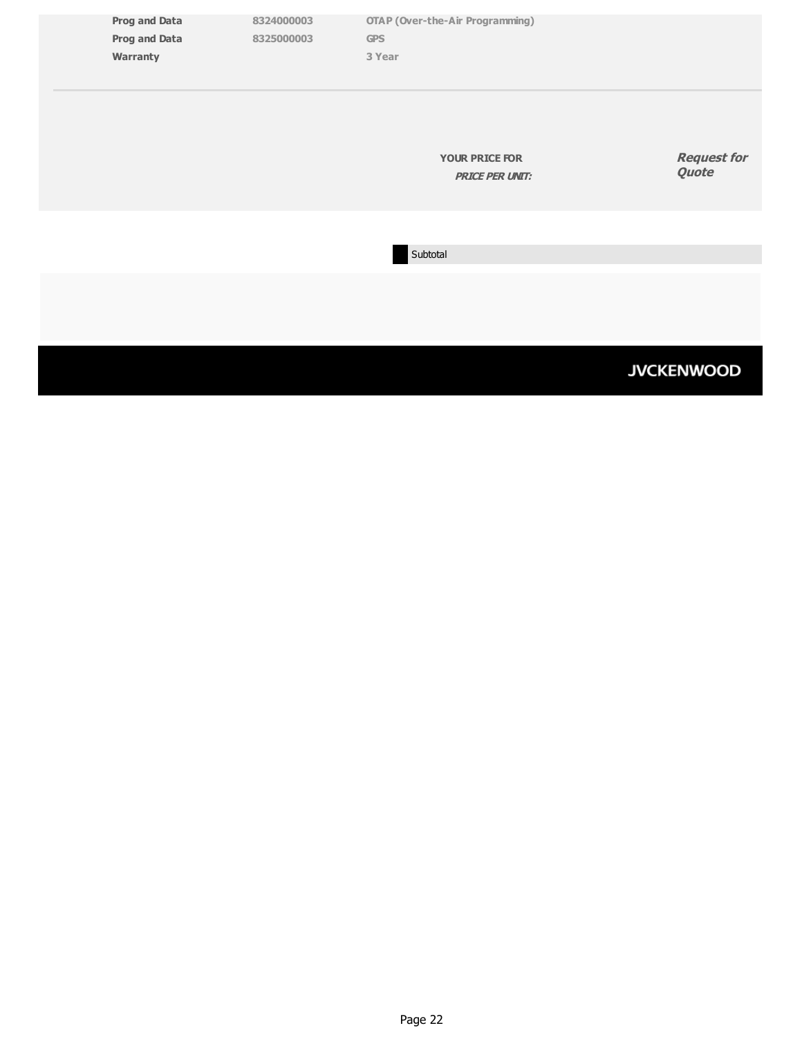| <b>Prog and Data</b><br><b>Prog and Data</b><br>Warranty | 8324000003<br>8325000003 | <b>OTAP (Over-the-Air Programming)</b><br><b>GPS</b><br>3 Year |                             |
|----------------------------------------------------------|--------------------------|----------------------------------------------------------------|-----------------------------|
|                                                          |                          | <b>YOUR PRICE FOR</b><br><b>PRICE PER UNIT:</b>                | <b>Request for</b><br>Quote |
|                                                          |                          | Subtotal                                                       |                             |
|                                                          |                          |                                                                |                             |
|                                                          |                          |                                                                | <b>JVCKENWOOD</b>           |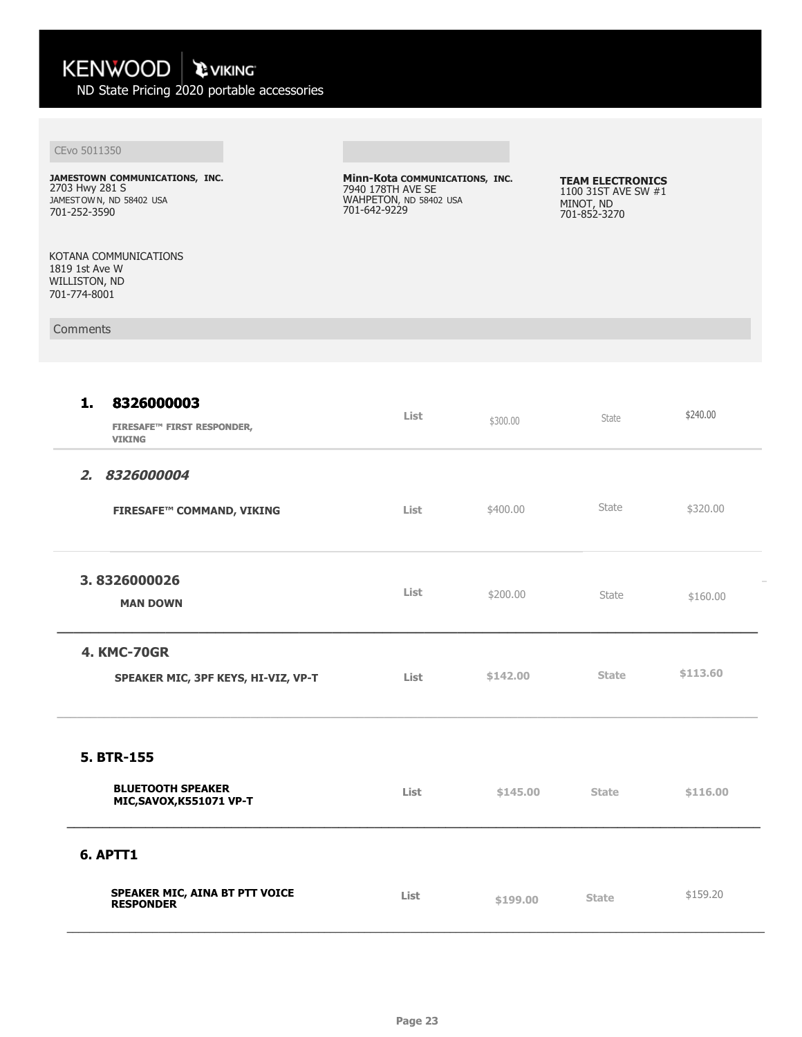ND State Pricing 2020 portable accessories

# CEvo 5011350

**JAMESTOWN COMMUNICATIONS, INC.**  2703 Hwy 281 S JAMESTOWN, ND 58402 USA 701-252-3590

KOTANA COMMUNICATIONS 1819 1st Ave W WILLISTON, ND 701-774-8001

Comments

**Minn-Kota COMMUNICATIONS, INC.**  7940 178TH AVE SE WAHPETON, ND 58402 USA 701-642-9229

**TEAM ELECTRONICS**  1100 31ST AVE SW #1 MINOT, ND 701-852-3270

| 8326000003<br>1.<br><b>FIRESAFE™ FIRST RESPONDER,</b><br><b>VIKING</b> | List | \$300.00 | State        | \$240.00 |
|------------------------------------------------------------------------|------|----------|--------------|----------|
| 2. 8326000004<br><b>FIRESAFE™ COMMAND, VIKING</b>                      | List | \$400.00 | State        | \$320.00 |
| 3.8326000026<br><b>MAN DOWN</b>                                        | List | \$200.00 | State        | \$160.00 |
| <b>4. KMC-70GR</b><br>SPEAKER MIC, 3PF KEYS, HI-VIZ, VP-T              | List | \$142.00 | <b>State</b> | \$113.60 |
| 5. BTR-155<br><b>BLUETOOTH SPEAKER</b><br>MIC, SAVOX, K551071 VP-T     | List | \$145.00 | <b>State</b> | \$116.00 |
| 6. APTT1<br>SPEAKER MIC, AINA BT PTT VOICE<br>RESPONDER                | List | \$199.00 | <b>State</b> | \$159.20 |

 $\color{blue} \begin{smallmatrix} \textcolor{blue}{\bf \textcolor{blue}{\bf \textcolor{blue}{\bf \textcolor{blue}{\bf \textcolor{blue}{\bf \textcolor{blue}{\bf \textcolor{blue}{\bf \textcolor{blue}{\bf \textcolor{blue}{\bf \textcolor{blue}{\bf \textcolor{blue}{\bf \textcolor{blue}{\bf \textcolor{blue}{\bf \textcolor{blue}{\bf \textcolor{blue}{\bf \textcolor{blue}{\bf \textcolor{blue}{\bf \textcolor{blue}{\bf \textcolor{blue}{\bf \textcolor{blue}{\bf \textcolor{blue}{\bf \textcolor{blue}{\bf \textcolor{blue}{\bf \textcolor{blue}{\bf \textcolor{blue}{\bf \textcolor{blue}{\bf \$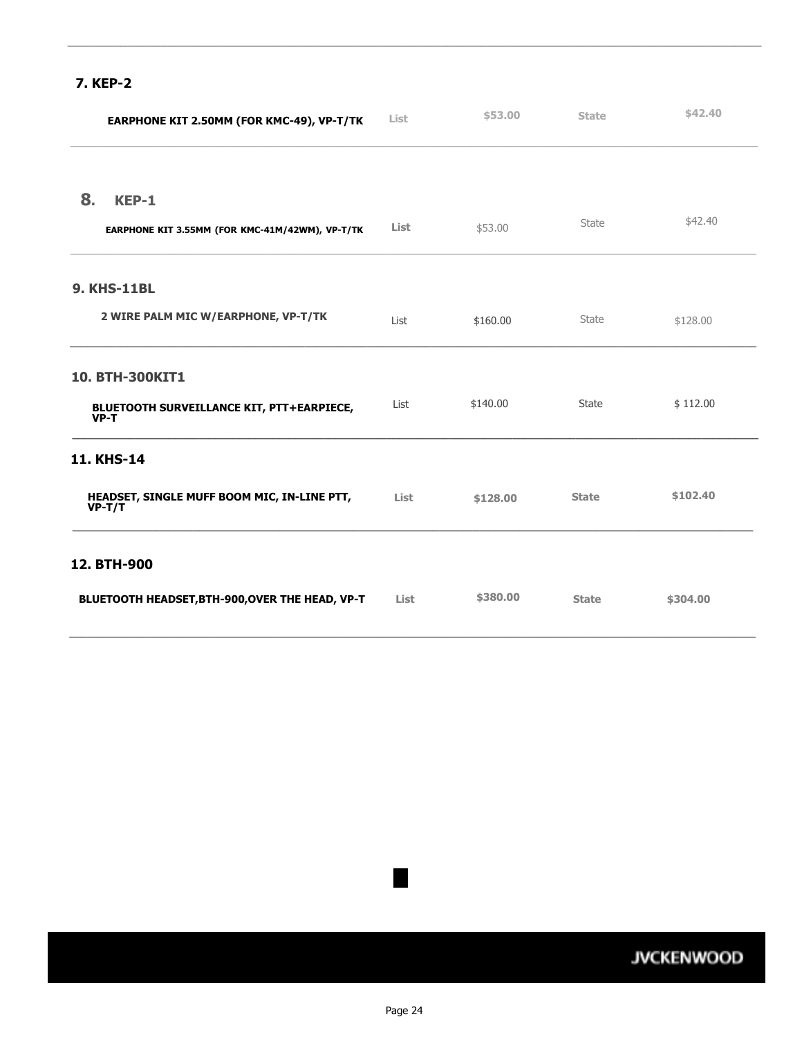# **7. KEP-2**

|    | EARPHONE KIT 2.50MM (FOR KMC-49), VP-T/TK               | <b>List</b> | \$53.00  | <b>State</b> | \$42.40  |
|----|---------------------------------------------------------|-------------|----------|--------------|----------|
|    |                                                         |             |          |              |          |
| 8. | KEP-1                                                   |             |          |              |          |
|    | EARPHONE KIT 3.55MM (FOR KMC-41M/42WM), VP-T/TK         | <b>List</b> | \$53.00  | State        | \$42.40  |
|    | <b>9. KHS-11BL</b>                                      |             |          |              |          |
|    | 2 WIRE PALM MIC W/EARPHONE, VP-T/TK                     | List        | \$160.00 | State        | \$128.00 |
|    | 10. BTH-300KIT1                                         |             |          |              |          |
|    | BLUETOOTH SURVEILLANCE KIT, PTT+EARPIECE,<br>$VP-T$     | List        | \$140.00 | State        | \$112.00 |
|    | <b>11. KHS-14</b>                                       |             |          |              |          |
|    | HEADSET, SINGLE MUFF BOOM MIC, IN-LINE PTT,<br>$VP-T/T$ | List        | \$128,00 | <b>State</b> | \$102.40 |
|    | 12. BTH-900                                             |             |          |              |          |
|    | BLUETOOTH HEADSET, BTH-900, OVER THE HEAD, VP-T         | List        | \$380.00 | <b>State</b> | \$304.00 |

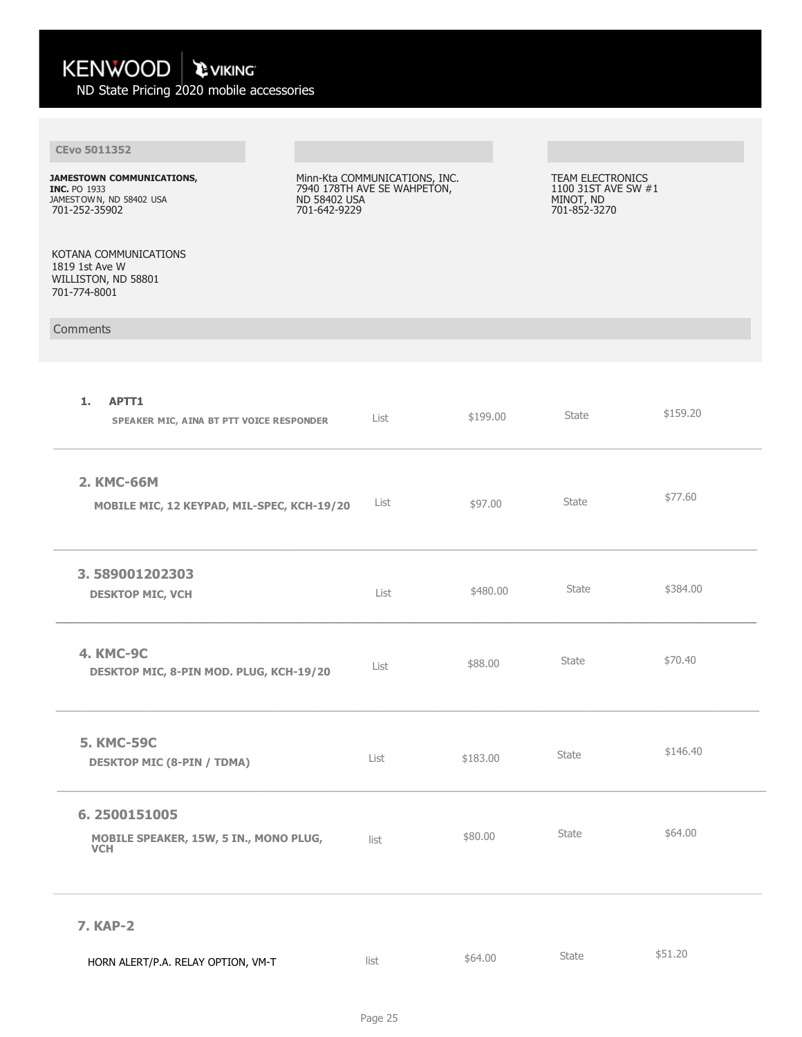| KENWOOD<br><b>C VIKING</b><br>ND State Pricing 2020 mobile accessories                       |                                                                                                     |          |                                                                      |          |
|----------------------------------------------------------------------------------------------|-----------------------------------------------------------------------------------------------------|----------|----------------------------------------------------------------------|----------|
|                                                                                              |                                                                                                     |          |                                                                      |          |
| <b>CEvo 5011352</b>                                                                          |                                                                                                     |          |                                                                      |          |
| JAMESTOWN COMMUNICATIONS,<br><b>INC. PO 1933</b><br>JAMESTOWN, ND 58402 USA<br>701-252-35902 | Minn-Kta COMMUNICATIONS, INC.<br>7940 178TH AVE SE WAHPETON,<br><b>ND 58402 USA</b><br>701-642-9229 |          | TEAM ELECTRONICS<br>1100 31ST AVE SW #1<br>MINOT, ND<br>701-852-3270 |          |
| KOTANA COMMUNICATIONS<br>1819 1st Ave W<br>WILLISTON, ND 58801<br>701-774-8001               |                                                                                                     |          |                                                                      |          |
| Comments                                                                                     |                                                                                                     |          |                                                                      |          |
|                                                                                              |                                                                                                     |          |                                                                      |          |
| 1.<br>APTT1<br>SPEAKER MIC, AINA BT PTT VOICE RESPONDER                                      | List                                                                                                | \$199.00 | State                                                                | \$159.20 |
| 2. KMC-66M<br>MOBILE MIC, 12 KEYPAD, MIL-SPEC, KCH-19/20                                     | List                                                                                                | \$97.00  | <b>State</b>                                                         | \$77.60  |
| 3.589001202303<br><b>DESKTOP MIC, VCH</b>                                                    | List                                                                                                | \$480.00 | State                                                                | \$384.00 |
| <b>4. KMC-9C</b><br>DESKTOP MIC, 8-PIN MOD. PLUG, KCH-19/20                                  | List                                                                                                | \$88.00  | State                                                                | \$70.40  |
| <b>5. KMC-59C</b><br><b>DESKTOP MIC (8-PIN / TDMA)</b>                                       | List                                                                                                | \$183.00 | State                                                                | \$146.40 |
| 6.2500151005<br>MOBILE SPEAKER, 15W, 5 IN., MONO PLUG,<br><b>VCH</b>                         | list                                                                                                | \$80.00  | State                                                                | \$64.00  |
| <b>7. KAP-2</b>                                                                              |                                                                                                     |          |                                                                      |          |
| HORN ALERT/P.A. RELAY OPTION, VM-T                                                           | list                                                                                                | \$64.00  | State                                                                | \$51.20  |